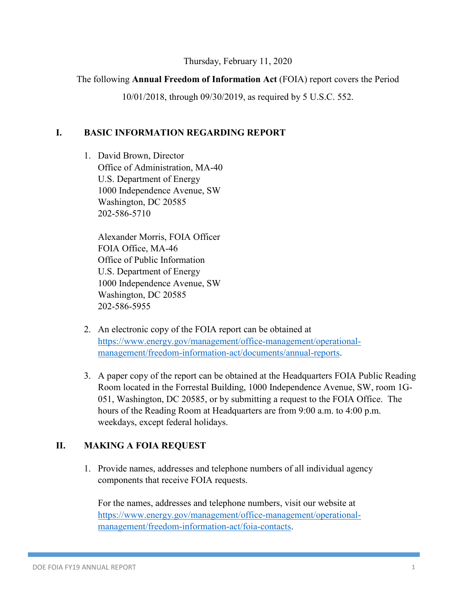#### Thursday, February 11, 2020

#### The following **Annual Freedom of Information Act** (FOIA) report covers the Period

10/01/2018, through 09/30/2019, as required by 5 U.S.C. 552.

#### **I. BASIC INFORMATION REGARDING REPORT**

1. David Brown, Director Office of Administration, MA-40 U.S. Department of Energy 1000 Independence Avenue, SW Washington, DC 20585 202-586-5710

Alexander Morris, FOIA Officer FOIA Office, MA-46 Office of Public Information U.S. Department of Energy 1000 Independence Avenue, SW Washington, DC 20585 202-586-5955

- 2. An electronic copy of the FOIA report can be obtained at [https://www.energy.gov/management/office-management/operational](https://www.energy.gov/management/office-management/operational-management/freedom-information-act/documents/annual-reports)[management/freedom-information-act/documents/annual-reports.](https://www.energy.gov/management/office-management/operational-management/freedom-information-act/documents/annual-reports)
- 3. A paper copy of the report can be obtained at the Headquarters FOIA Public Reading Room located in the Forrestal Building, 1000 Independence Avenue, SW, room 1G-051, Washington, DC 20585, or by submitting a request to the FOIA Office. The hours of the Reading Room at Headquarters are from 9:00 a.m. to 4:00 p.m. weekdays, except federal holidays.

#### **II. MAKING A FOIA REQUEST**

1. Provide names, addresses and telephone numbers of all individual agency components that receive FOIA requests.

For the names, addresses and telephone numbers, visit our website at [https://www.energy.gov/management/office-management/operational](https://www.energy.gov/management/office-management/operational-management/freedom-information-act/foia-contacts)[management/freedom-information-act/foia-contacts.](https://www.energy.gov/management/office-management/operational-management/freedom-information-act/foia-contacts)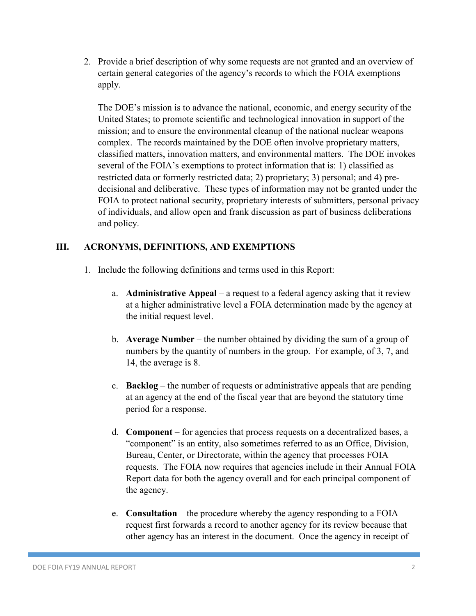2. Provide a brief description of why some requests are not granted and an overview of certain general categories of the agency's records to which the FOIA exemptions apply.

The DOE's mission is to advance the national, economic, and energy security of the United States; to promote scientific and technological innovation in support of the mission; and to ensure the environmental cleanup of the national nuclear weapons complex. The records maintained by the DOE often involve proprietary matters, classified matters, innovation matters, and environmental matters. The DOE invokes several of the FOIA's exemptions to protect information that is: 1) classified as restricted data or formerly restricted data; 2) proprietary; 3) personal; and 4) predecisional and deliberative. These types of information may not be granted under the FOIA to protect national security, proprietary interests of submitters, personal privacy of individuals, and allow open and frank discussion as part of business deliberations and policy.

#### **III. ACRONYMS, DEFINITIONS, AND EXEMPTIONS**

- 1. Include the following definitions and terms used in this Report:
	- a. **Administrative Appeal** a request to a federal agency asking that it review at a higher administrative level a FOIA determination made by the agency at the initial request level.
	- b. **Average Number** the number obtained by dividing the sum of a group of numbers by the quantity of numbers in the group. For example, of 3, 7, and 14, the average is 8.
	- c. **Backlog** the number of requests or administrative appeals that are pending at an agency at the end of the fiscal year that are beyond the statutory time period for a response.
	- d. **Component** for agencies that process requests on a decentralized bases, a "component" is an entity, also sometimes referred to as an Office, Division, Bureau, Center, or Directorate, within the agency that processes FOIA requests. The FOIA now requires that agencies include in their Annual FOIA Report data for both the agency overall and for each principal component of the agency.
	- e. **Consultation** the procedure whereby the agency responding to a FOIA request first forwards a record to another agency for its review because that other agency has an interest in the document. Once the agency in receipt of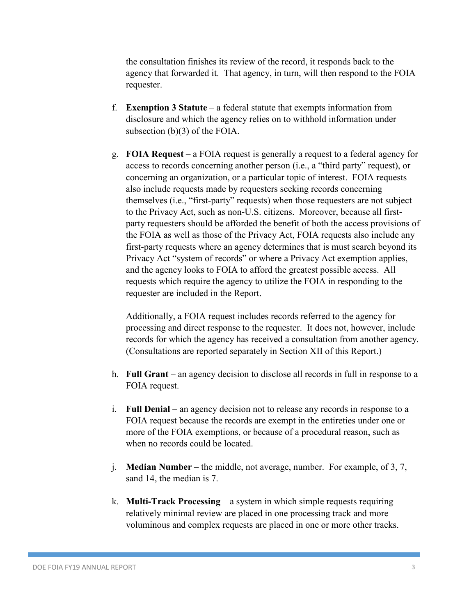the consultation finishes its review of the record, it responds back to the agency that forwarded it. That agency, in turn, will then respond to the FOIA requester.

- f. **Exemption 3 Statute** a federal statute that exempts information from disclosure and which the agency relies on to withhold information under subsection (b)(3) of the FOIA.
- g. **FOIA Request** a FOIA request is generally a request to a federal agency for access to records concerning another person (i.e., a "third party" request), or concerning an organization, or a particular topic of interest. FOIA requests also include requests made by requesters seeking records concerning themselves (i.e., "first-party" requests) when those requesters are not subject to the Privacy Act, such as non-U.S. citizens. Moreover, because all firstparty requesters should be afforded the benefit of both the access provisions of the FOIA as well as those of the Privacy Act, FOIA requests also include any first-party requests where an agency determines that is must search beyond its Privacy Act "system of records" or where a Privacy Act exemption applies, and the agency looks to FOIA to afford the greatest possible access. All requests which require the agency to utilize the FOIA in responding to the requester are included in the Report.

Additionally, a FOIA request includes records referred to the agency for processing and direct response to the requester. It does not, however, include records for which the agency has received a consultation from another agency. (Consultations are reported separately in Section XII of this Report.)

- h. **Full Grant** an agency decision to disclose all records in full in response to a FOIA request.
- i. **Full Denial** an agency decision not to release any records in response to a FOIA request because the records are exempt in the entireties under one or more of the FOIA exemptions, or because of a procedural reason, such as when no records could be located.
- j. **Median Number** the middle, not average, number. For example, of 3, 7, sand 14, the median is 7.
- k. **Multi-Track Processing** a system in which simple requests requiring relatively minimal review are placed in one processing track and more voluminous and complex requests are placed in one or more other tracks.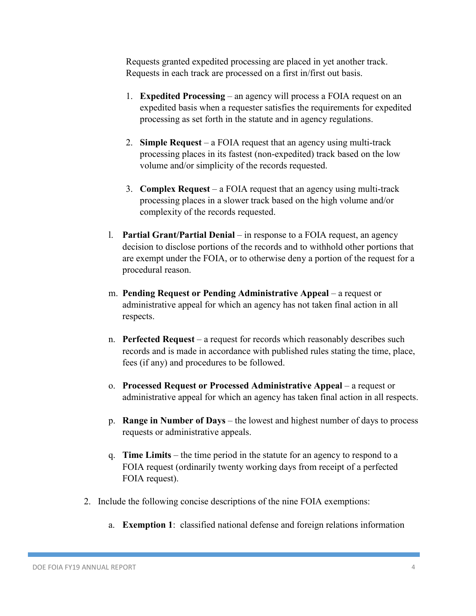Requests granted expedited processing are placed in yet another track. Requests in each track are processed on a first in/first out basis.

- 1. **Expedited Processing** an agency will process a FOIA request on an expedited basis when a requester satisfies the requirements for expedited processing as set forth in the statute and in agency regulations.
- 2. **Simple Request** a FOIA request that an agency using multi-track processing places in its fastest (non-expedited) track based on the low volume and/or simplicity of the records requested.
- 3. **Complex Request** a FOIA request that an agency using multi-track processing places in a slower track based on the high volume and/or complexity of the records requested.
- l. **Partial Grant/Partial Denial** in response to a FOIA request, an agency decision to disclose portions of the records and to withhold other portions that are exempt under the FOIA, or to otherwise deny a portion of the request for a procedural reason.
- m. **Pending Request or Pending Administrative Appeal** a request or administrative appeal for which an agency has not taken final action in all respects.
- n. **Perfected Request** a request for records which reasonably describes such records and is made in accordance with published rules stating the time, place, fees (if any) and procedures to be followed.
- o. **Processed Request or Processed Administrative Appeal** a request or administrative appeal for which an agency has taken final action in all respects.
- p. **Range in Number of Days** the lowest and highest number of days to process requests or administrative appeals.
- q. **Time Limits** the time period in the statute for an agency to respond to a FOIA request (ordinarily twenty working days from receipt of a perfected FOIA request).
- 2. Include the following concise descriptions of the nine FOIA exemptions:
	- a. **Exemption 1**: classified national defense and foreign relations information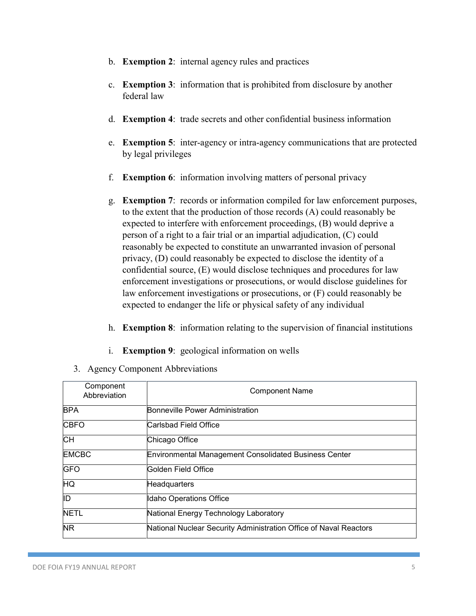- b. **Exemption 2**: internal agency rules and practices
- c. **Exemption 3**: information that is prohibited from disclosure by another federal law
- d. **Exemption 4**: trade secrets and other confidential business information
- e. **Exemption 5**: inter-agency or intra-agency communications that are protected by legal privileges
- f. **Exemption 6**: information involving matters of personal privacy
- g. **Exemption 7**: records or information compiled for law enforcement purposes, to the extent that the production of those records (A) could reasonably be expected to interfere with enforcement proceedings, (B) would deprive a person of a right to a fair trial or an impartial adjudication, (C) could reasonably be expected to constitute an unwarranted invasion of personal privacy, (D) could reasonably be expected to disclose the identity of a confidential source, (E) would disclose techniques and procedures for law enforcement investigations or prosecutions, or would disclose guidelines for law enforcement investigations or prosecutions, or (F) could reasonably be expected to endanger the life or physical safety of any individual
- h. **Exemption 8**: information relating to the supervision of financial institutions
- i. **Exemption 9**: geological information on wells
- 3. Agency Component Abbreviations

| Component<br>Abbreviation | <b>Component Name</b>                                             |
|---------------------------|-------------------------------------------------------------------|
| <b>BPA</b>                | <b>Bonneville Power Administration</b>                            |
| <b>CBFO</b>               | lCarlsbad Field Office                                            |
| $\overline{\mathsf{CH}}$  | Chicago Office                                                    |
| <b>EMCBC</b>              | <b>Environmental Management Consolidated Business Center</b>      |
| <b>GFO</b>                | Golden Field Office                                               |
| ΗQ                        | Headquarters                                                      |
| ID                        | Idaho Operations Office                                           |
| <b>NETL</b>               | National Energy Technology Laboratory                             |
| $\overline{\textsf{NR}}$  | National Nuclear Security Administration Office of Naval Reactors |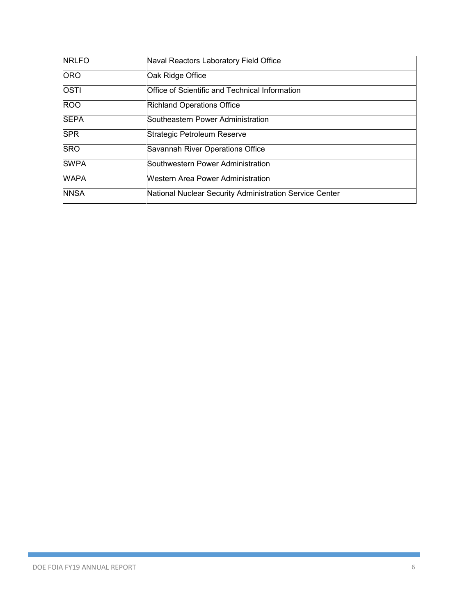| <b>NRLFO</b> | Naval Reactors Laboratory Field Office                  |
|--------------|---------------------------------------------------------|
| <b>ORO</b>   | Oak Ridge Office                                        |
| <b>OSTI</b>  | Office of Scientific and Technical Information          |
| <b>ROO</b>   | <b>Richland Operations Office</b>                       |
| <b>SEPA</b>  | Southeastern Power Administration                       |
| <b>SPR</b>   | Strategic Petroleum Reserve                             |
| <b>SRO</b>   | Savannah River Operations Office                        |
| <b>SWPA</b>  | Southwestern Power Administration                       |
| <b>WAPA</b>  | <b>Western Area Power Administration</b>                |
| <b>NNSA</b>  | National Nuclear Security Administration Service Center |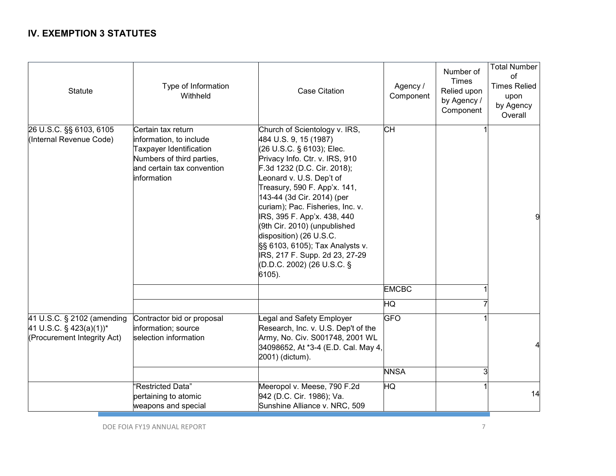#### **IV. EXEMPTION 3 STATUTES**

| <b>Statute</b>                                                                                      | Type of Information<br>Withheld                                                                                                                    | <b>Case Citation</b>                                                                                                                                                                                                                                                                                                                                                                                                                                                                      | Agency /<br>Component | Number of<br><b>Times</b><br>Relied upon<br>by Agency /<br>Component | <b>Total Number</b><br>0f<br><b>Times Relied</b><br>upon<br>by Agency<br>Overall |
|-----------------------------------------------------------------------------------------------------|----------------------------------------------------------------------------------------------------------------------------------------------------|-------------------------------------------------------------------------------------------------------------------------------------------------------------------------------------------------------------------------------------------------------------------------------------------------------------------------------------------------------------------------------------------------------------------------------------------------------------------------------------------|-----------------------|----------------------------------------------------------------------|----------------------------------------------------------------------------------|
| 26 U.S.C. §§ 6103, 6105<br>(Internal Revenue Code)                                                  | Certain tax return<br>information, to include<br>Taxpayer Identification<br>Numbers of third parties,<br>and certain tax convention<br>information | Church of Scientology v. IRS,<br>484 U.S. 9, 15 (1987)<br>(26 U.S.C. § 6103); Elec.<br>Privacy Info. Ctr. v. IRS, 910<br>F.3d 1232 (D.C. Cir. 2018);<br>Leonard v. U.S. Dep't of<br>Treasury, 590 F. App'x. 141,<br>143-44 (3d Cir. 2014) (per<br>curiam); Pac. Fisheries, Inc. v.<br>IRS, 395 F. App'x. 438, 440<br>(9th Cir. 2010) (unpublished<br>disposition) (26 U.S.C.<br>SS 6103, 6105); Tax Analysts v.<br>IRS, 217 F. Supp. 2d 23, 27-29<br>(D.D.C. 2002) (26 U.S.C. §<br>6105). | <b>CH</b>             |                                                                      | 9                                                                                |
|                                                                                                     |                                                                                                                                                    |                                                                                                                                                                                                                                                                                                                                                                                                                                                                                           | <b>EMCBC</b>          |                                                                      |                                                                                  |
|                                                                                                     |                                                                                                                                                    |                                                                                                                                                                                                                                                                                                                                                                                                                                                                                           | HQ                    |                                                                      |                                                                                  |
| 41 U.S.C. § 2102 (amending<br>41 U.S.C. $\S$ 423(a)(1)) <sup>*</sup><br>(Procurement Integrity Act) | Contractor bid or proposal<br>information; source<br>selection information                                                                         | Legal and Safety Employer<br>Research, Inc. v. U.S. Dep't of the<br>Army, No. Civ. S001748, 2001 WL<br>34098652, At *3-4 (E.D. Cal. May 4,<br>2001) (dictum).                                                                                                                                                                                                                                                                                                                             | <b>GFO</b>            |                                                                      |                                                                                  |
|                                                                                                     |                                                                                                                                                    |                                                                                                                                                                                                                                                                                                                                                                                                                                                                                           | <b>NNSA</b>           | 3                                                                    |                                                                                  |
|                                                                                                     | "Restricted Data"<br>pertaining to atomic<br>weapons and special                                                                                   | Meeropol v. Meese, 790 F.2d<br>942 (D.C. Cir. 1986); Va.<br>Sunshine Alliance v. NRC, 509                                                                                                                                                                                                                                                                                                                                                                                                 | HQ                    |                                                                      | 14                                                                               |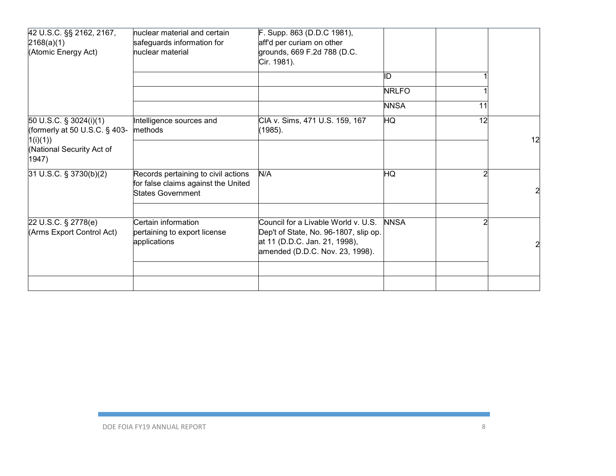| 42 U.S.C. §§ 2162, 2167,<br>2168(a)(1)<br>(Atomic Energy Act)          | huclear material and certain<br>safeguards information for<br>nuclear material                         | F. Supp. 863 (D.D.C 1981),<br>aff'd per curiam on other<br>grounds, 669 F.2d 788 (D.C.<br>Cir. 1981).                                            |              |    |    |
|------------------------------------------------------------------------|--------------------------------------------------------------------------------------------------------|--------------------------------------------------------------------------------------------------------------------------------------------------|--------------|----|----|
|                                                                        |                                                                                                        |                                                                                                                                                  | ID           |    |    |
|                                                                        |                                                                                                        |                                                                                                                                                  | <b>NRLFO</b> |    |    |
|                                                                        |                                                                                                        |                                                                                                                                                  | <b>NNSA</b>  | 11 |    |
| 50 U.S.C. § 3024(i)(1)<br>(formerly at 50 U.S.C. $\S$ 403-<br>1(i)(1)) | Intelligence sources and<br>methods                                                                    | CIA v. Sims, 471 U.S. 159, 167<br>(1985).                                                                                                        | HQ           | 12 | 12 |
| (National Security Act of<br>1947)                                     |                                                                                                        |                                                                                                                                                  |              |    |    |
| 31 U.S.C. § 3730(b)(2)                                                 | Records pertaining to civil actions<br>for false claims against the United<br><b>States Government</b> | N/A                                                                                                                                              | HQ           |    | 2  |
| 22 U.S.C. § 2778(e)<br>(Arms Export Control Act)                       | Certain information<br>pertaining to export license<br>applications                                    | Council for a Livable World v. U.S.<br>Dep't of State, No. 96-1807, slip op.<br>at 11 (D.D.C. Jan. 21, 1998),<br>amended (D.D.C. Nov. 23, 1998). | <b>NNSA</b>  |    |    |
|                                                                        |                                                                                                        |                                                                                                                                                  |              |    |    |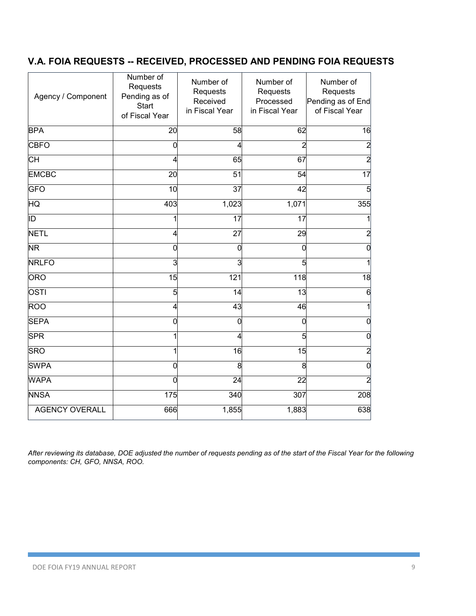### **V.A. FOIA REQUESTS -- RECEIVED, PROCESSED AND PENDING FOIA REQUESTS**

| Agency / Component    | Number of<br>Requests<br>Pending as of<br><b>Start</b><br>of Fiscal Year | Number of<br>Requests<br>Received<br>in Fiscal Year | Number of<br>Requests<br>Processed<br>in Fiscal Year | Number of<br>Requests<br>Pending as of End<br>of Fiscal Year |
|-----------------------|--------------------------------------------------------------------------|-----------------------------------------------------|------------------------------------------------------|--------------------------------------------------------------|
| <b>BPA</b>            | 20                                                                       | 58                                                  | 62                                                   | 16                                                           |
| <b>CBFO</b>           | 0                                                                        |                                                     | 2                                                    | $\overline{2}$                                               |
| СH                    | 4                                                                        | 65                                                  | 67                                                   | 2                                                            |
| <b>EMCBC</b>          | 20                                                                       | 51                                                  | 54                                                   | 17                                                           |
| <b>GFO</b>            | 10                                                                       | $\overline{37}$                                     | 42                                                   |                                                              |
| <b>HQ</b>             | 403                                                                      | 1,023                                               | 1,071                                                | 355                                                          |
| ĪD                    | 1                                                                        | 17                                                  | 17                                                   |                                                              |
| <b>NETL</b>           | 4                                                                        | $\overline{27}$                                     | 29                                                   | 2                                                            |
| <b>NR</b>             | 0                                                                        | 0                                                   | 0                                                    | 0                                                            |
| <b>NRLFO</b>          | 3                                                                        | 3                                                   | 5                                                    |                                                              |
| <b>ORO</b>            | 15                                                                       | 121                                                 | 118                                                  | 18                                                           |
| <b>OSTI</b>           | 5                                                                        | 14                                                  | 13                                                   | 6                                                            |
| <b>ROO</b>            | 4                                                                        | 43                                                  | 46                                                   |                                                              |
| <b>SEPA</b>           | 0                                                                        | 0                                                   | 0                                                    | 0                                                            |
| <b>SPR</b>            | 1                                                                        |                                                     | 5                                                    | 0                                                            |
| <b>SRO</b>            | 1                                                                        | 16                                                  | $\overline{15}$                                      | $\overline{2}$                                               |
| <b>SWPA</b>           | 0                                                                        | 8                                                   | 8                                                    | 0                                                            |
| <b>WAPA</b>           | 0                                                                        | 24                                                  | 22                                                   | 2                                                            |
| <b>NNSA</b>           | 175                                                                      | 340                                                 | 307                                                  | 208                                                          |
| <b>AGENCY OVERALL</b> | 666                                                                      | 1,855                                               | 1,883                                                | 638                                                          |

*After reviewing its database, DOE adjusted the number of requests pending as of the start of the Fiscal Year for the following components: CH, GFO, NNSA, ROO.*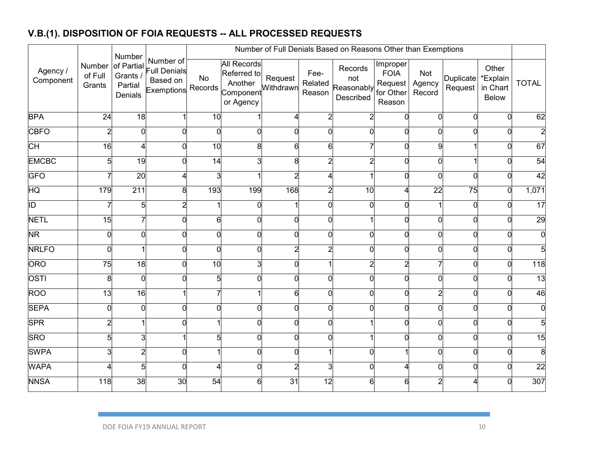## **V.B.(1). DISPOSITION OF FOIA REQUESTS -- ALL PROCESSED REQUESTS**

|                        |                             | Number                                       |                                                                    |          | Number of Full Denials Based on Reasons Other than Exemptions                       |                 |                           |                                           |                                                           |                         |                      |                                        |                 |  |  |
|------------------------|-----------------------------|----------------------------------------------|--------------------------------------------------------------------|----------|-------------------------------------------------------------------------------------|-----------------|---------------------------|-------------------------------------------|-----------------------------------------------------------|-------------------------|----------------------|----------------------------------------|-----------------|--|--|
| Agency /<br>Component  | Number<br>of Full<br>Grants | of Partial<br>Grants /<br>Partial<br>Denials | Number of<br><b>Full Denials</b><br>Based on<br>Exemptions Records | No       | <b>All Records</b><br>Referred to<br>Another<br>Component<br>Component<br>or Agency | Request         | Fee-<br>Related<br>Reason | Records<br>not<br>Reasonably<br>Described | Improper<br><b>FOIA</b><br>Request<br>for Other<br>Reason | Not<br>Agency<br>Record | Duplicate<br>Request | Other<br>*Explain<br>in Chart<br>Below | <b>TOTAL</b>    |  |  |
| <b>BPA</b>             | 24                          | $\frac{1}{8}$                                |                                                                    | 10       |                                                                                     | $\overline{4}$  | $\overline{c}$            | $\overline{c}$                            | 0                                                         | $\Omega$                | $\Omega$             |                                        | 62              |  |  |
| <b>CBFO</b>            | $\overline{c}$              | 0                                            | $\Omega$                                                           | $\Omega$ | $\Omega$                                                                            | $\Omega$        | 0l                        | 0l                                        | $\Omega$                                                  | U                       | $\Omega$             |                                        |                 |  |  |
| СH                     | 16                          | 4                                            | 0                                                                  | 10       | 8                                                                                   | 6               | 6                         |                                           | $\Omega$                                                  | q                       |                      |                                        | 67              |  |  |
| <b>EMCBC</b>           | 5                           | $\overline{19}$                              | 0                                                                  | 14       |                                                                                     | 8               | $\overline{a}$            | $\overline{c}$                            | 0                                                         |                         |                      |                                        | 54              |  |  |
| <b>GFO</b>             |                             | $\overline{20}$                              | 4                                                                  | 3        |                                                                                     | $\overline{2}$  | 4                         |                                           | $\Omega$                                                  |                         | $\overline{0}$       |                                        | 42              |  |  |
| $\overline{\text{HQ}}$ | 179                         | $\overline{211}$                             | 8                                                                  | 193      | 199                                                                                 | 168             | $\overline{c}$            | 10                                        | 4                                                         | 22                      | $\overline{75}$      |                                        | 1,071           |  |  |
| ĪD                     |                             | 5                                            | $\overline{c}$                                                     |          | $\Omega$                                                                            |                 | 0                         | 0                                         | 0                                                         |                         | $\Omega$             |                                        | $\overline{17}$ |  |  |
| <b>NETL</b>            | 15                          | 7                                            | 0                                                                  | 6        | $\Omega$                                                                            | $\overline{0}$  | 0                         |                                           | $\Omega$                                                  |                         | $\Omega$             |                                        | 29              |  |  |
| NR                     | O                           | $\overline{0}$                               | $\Omega$                                                           | 0        | U                                                                                   | $\overline{0}$  | 0                         | 0l                                        | $\Omega$                                                  |                         | $\Omega$             |                                        |                 |  |  |
| <b>NRLFO</b>           | O                           |                                              | $\Omega$                                                           | 0        | U                                                                                   | $\overline{2}$  | $\overline{a}$            | $\Omega$                                  | $\overline{0}$                                            | Ωl                      | $\Omega$             |                                        |                 |  |  |
| ORO                    | 75                          | $\overline{18}$                              | 0                                                                  | 10       | 3                                                                                   | $\overline{0}$  |                           | $\overline{c}$                            | $\overline{c}$                                            |                         | $\overline{0}$       |                                        | 118             |  |  |
| OSTI                   | 8                           | $\overline{0}$                               | $\Omega$                                                           | 5        | $\Omega$                                                                            | $\overline{0}$  | O                         | 0                                         | $\Omega$                                                  | n                       | $\Omega$             |                                        | 13              |  |  |
| <b>ROO</b>             | $\overline{13}$             | $\overline{16}$                              |                                                                    |          |                                                                                     | 6               | O                         | 0                                         | $\Omega$                                                  |                         | $\Omega$             |                                        | 46              |  |  |
| <b>SEPA</b>            | $\Omega$                    | $\Omega$                                     | $\Omega$                                                           | 0        | U                                                                                   | $\overline{0}$  | $\Omega$                  | $\Omega$                                  | $\Omega$                                                  |                         | $\Omega$             |                                        |                 |  |  |
| <b>SPR</b>             | 2                           |                                              | 0                                                                  |          | O                                                                                   | $\overline{0}$  | 0                         |                                           | 0                                                         | ∩                       | $\Omega$             |                                        |                 |  |  |
| <b>SRO</b>             | 5                           | 3                                            |                                                                    | 5        | $\Omega$                                                                            | $\overline{0}$  | O                         |                                           | $\overline{0}$                                            |                         | $\Omega$             |                                        | 15              |  |  |
| <b>SWPA</b>            | 3                           | $\overline{\mathbf{c}}$                      | $\Omega$                                                           |          | 0                                                                                   | $\overline{0}$  |                           | 0l                                        |                                                           | $\Omega$                | $\Omega$             |                                        | 8               |  |  |
| <b>WAPA</b>            |                             | 5                                            | 0                                                                  | 4        | $\Omega$                                                                            | $\overline{2}$  | ვ                         | 0                                         | 4                                                         | $\Omega$                | $\Omega$             |                                        | $\overline{22}$ |  |  |
| <b>NNSA</b>            | 118                         | 38                                           | 30                                                                 | 54       | 6                                                                                   | $\overline{31}$ | $\overline{12}$           | 6                                         | 6                                                         |                         |                      |                                        | 307             |  |  |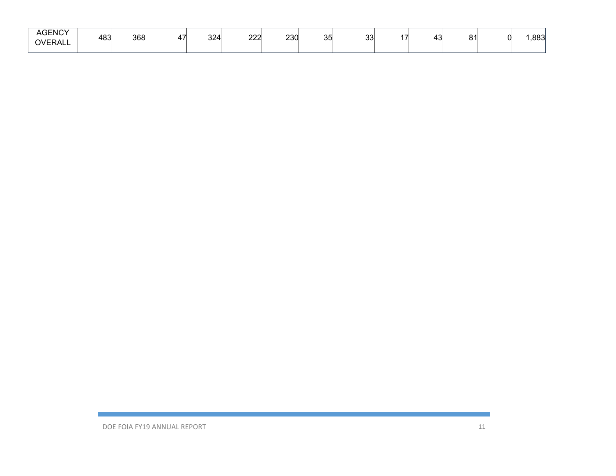| <b>AGENCY</b><br><b>OVERALL</b> | 483 | 368 | . .<br>. . | 324 | $\sim$<br>∠∠∠ | 230 | つに<br>ັບ | $\sim$<br>ັບບ | '' | $\ddot{\,}$<br>TU. | 04 | ററി<br>اد00. |
|---------------------------------|-----|-----|------------|-----|---------------|-----|----------|---------------|----|--------------------|----|--------------|
|                                 |     |     |            |     |               |     |          |               |    |                    |    |              |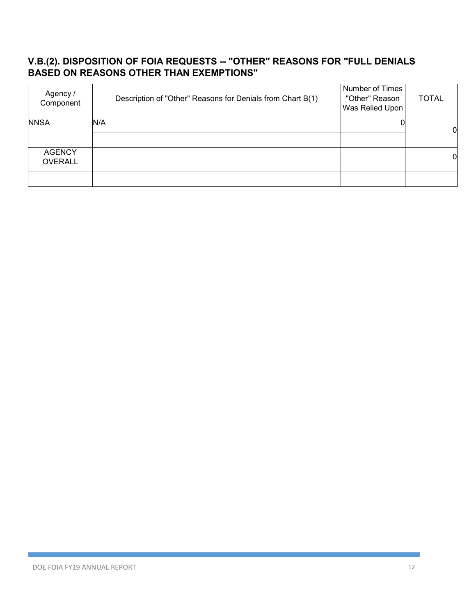#### **V.B.(2). DISPOSITION OF FOIA REQUESTS -- "OTHER" REASONS FOR "FULL DENIALS BASED ON REASONS OTHER THAN EXEMPTIONS"**

| Agency /<br>Component           | Description of "Other" Reasons for Denials from Chart B(1) | Number of Times<br>"Other" Reason<br>Was Relied Upon | <b>TOTAL</b> |
|---------------------------------|------------------------------------------------------------|------------------------------------------------------|--------------|
| <b>NNSA</b>                     | N/A                                                        |                                                      | 0            |
| <b>AGENCY</b><br><b>OVERALL</b> |                                                            |                                                      | 0            |
|                                 |                                                            |                                                      |              |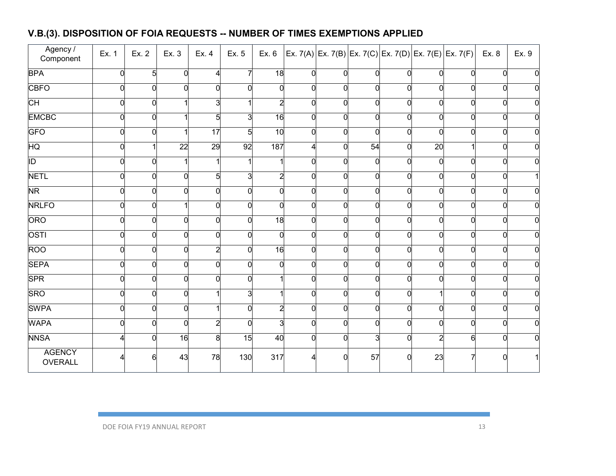## **V.B.(3). DISPOSITION OF FOIA REQUESTS -- NUMBER OF TIMES EXEMPTIONS APPLIED**

| Agency /<br>Component    | Ex. 1 | Ex. 2          | Ex. 3    | Ex. 4    | Ex. 5          | Ex. 6           |                |                |    |          | $ Ex. 7(A) Ex. 7(B) Ex. 7(C) Ex. 7(D) Ex. 7(E) Ex. 7(F)  Ex. 8$ |          |          | Ex. 9 |
|--------------------------|-------|----------------|----------|----------|----------------|-----------------|----------------|----------------|----|----------|-----------------------------------------------------------------|----------|----------|-------|
| <b>BPA</b>               |       | 5              | $\Omega$ | Λ        | 7              | $\overline{18}$ | $\Omega$       | $\Omega$       |    | $\Omega$ | $\overline{0}$                                                  | $\Omega$ |          |       |
| <b>CBFO</b>              |       | $\overline{0}$ |          | $\Omega$ | 0              |                 | O              | $\Omega$       |    |          | $\overline{0}$                                                  |          |          |       |
| CH                       |       | 0              |          |          |                | 2               | $\Omega$       | 0              |    | $\Omega$ | $\overline{0}$                                                  |          | n        |       |
| <b>EMCBC</b>             |       | 0              |          |          | 3              | 16              | $\Omega$       | $\Omega$       |    | $\Omega$ | 0                                                               | $\Omega$ | n        |       |
| GFO                      |       | $\overline{0}$ |          | 17       | 5              | 10              | $\Omega$       | $\overline{0}$ |    | $\Omega$ | <sub>0</sub>                                                    |          | 0        |       |
| HQ                       |       |                | 22       | 29       | 92             | 187             | Δ              | $\overline{0}$ | 54 | $\Omega$ | 20                                                              |          | 0        |       |
| ĪD                       |       | $\overline{0}$ |          |          |                |                 | $\Omega$       | $\overline{0}$ |    | C        | $\overline{0}$                                                  | $\Omega$ | O        |       |
| <b>NETL</b>              |       | $\overline{0}$ | $\Omega$ | 5        | 3              |                 | $\Omega$       | $\overline{0}$ |    | $\Omega$ | $\overline{0}$                                                  |          | O        |       |
| N <sub>R</sub>           |       | 0              | $\Omega$ | $\Omega$ | $\overline{0}$ |                 | ∩              | $\Omega$       |    | 0        | $\overline{0}$                                                  | O        | O        |       |
| <b>NRLFO</b>             |       | $\overline{0}$ |          | $\Omega$ | $\overline{0}$ | 0               | $\overline{0}$ | $\Omega$       |    | $\Omega$ | O                                                               | $\Omega$ | $\Omega$ |       |
| ORO                      |       | $\overline{0}$ | $\Omega$ | $\Omega$ | $\overline{0}$ | $\overline{18}$ | $\Omega$       | $\overline{0}$ |    | $\Omega$ | 0                                                               |          | n        |       |
| <b>OSTI</b>              |       | 0              | O        | $\Omega$ | $\overline{0}$ |                 | $\Omega$       | $\Omega$       |    | $\Omega$ | $\overline{0}$                                                  |          |          |       |
| <b>ROO</b>               |       | $\overline{0}$ | $\Omega$ |          | $\overline{0}$ | 16              | $\Omega$       | $\Omega$       |    | $\Omega$ | $\overline{0}$                                                  |          | O        |       |
| <b>SEPA</b>              |       | $\overline{0}$ | $\Omega$ | $\Omega$ | $\overline{0}$ |                 | $\Omega$       | $\Omega$       |    | $\Omega$ | 0                                                               |          | 0        |       |
| <b>SPR</b>               |       | 0              | $\Omega$ | $\Omega$ | $\overline{0}$ |                 | $\Omega$       | $\Omega$       |    | $\Omega$ | $\overline{0}$                                                  |          | n        |       |
| <b>SRO</b>               |       | $\overline{0}$ | $\Omega$ |          | 3              |                 | 0              | $\Omega$       |    | $\Omega$ |                                                                 |          | O        |       |
| <b>SWPA</b>              |       | 0              | $\Omega$ |          | $\overline{0}$ |                 | $\Omega$       | $\Omega$       |    | $\Omega$ | 0                                                               |          |          |       |
| <b>WAPA</b>              |       | 0              | $\Omega$ | 2        | $\overline{0}$ |                 | $\Omega$       | $\Omega$       |    | $\Omega$ | $\overline{0}$                                                  |          | O        |       |
| <b>NNSA</b>              |       | $\overline{0}$ | 16       | 8        | 15             | 40              | $\Omega$       | $\Omega$       |    |          | $\overline{2}$                                                  | 6        |          |       |
| <b>AGENCY</b><br>OVERALL |       | Բ              | 43       | 78       | 130            | 317             |                | ∩              | 57 |          | 23                                                              |          |          |       |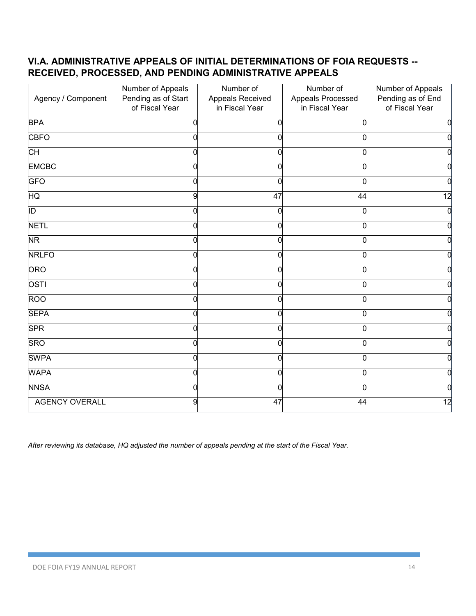#### **VI.A. ADMINISTRATIVE APPEALS OF INITIAL DETERMINATIONS OF FOIA REQUESTS -- RECEIVED, PROCESSED, AND PENDING ADMINISTRATIVE APPEALS**

| Agency / Component       | Number of Appeals<br>Pending as of Start<br>of Fiscal Year | Number of<br>Appeals Received<br>in Fiscal Year | Number of<br>Appeals Processed<br>in Fiscal Year | Number of Appeals<br>Pending as of End<br>of Fiscal Year |
|--------------------------|------------------------------------------------------------|-------------------------------------------------|--------------------------------------------------|----------------------------------------------------------|
| <b>BPA</b>               | ŋ                                                          | 0                                               |                                                  | $\overline{0}$                                           |
| <b>CBFO</b>              | O                                                          | $\Omega$                                        | O                                                | $\overline{0}$                                           |
| СH                       | 0                                                          | 0                                               |                                                  | $\overline{0}$                                           |
| <b>EMCBC</b>             |                                                            | O                                               |                                                  | $\mathbf 0$                                              |
| <b>GFO</b>               | O                                                          | ∩                                               | O                                                | $\overline{0}$                                           |
| HQ                       | 9                                                          | 47                                              | 44                                               | $\overline{12}$                                          |
| $\overline{\mathbb{D}}$  | O                                                          | $\Omega$                                        |                                                  | $\mathbf 0$                                              |
| <b>NETL</b>              | U                                                          | $\Omega$                                        | U                                                | $\overline{0}$                                           |
| $\overline{\mathsf{NR}}$ | 0                                                          | $\Omega$                                        |                                                  | $\overline{0}$                                           |
| <b>NRLFO</b>             |                                                            | O                                               |                                                  | $\overline{0}$                                           |
| ORO                      | 0                                                          | $\Omega$                                        | 0                                                | ō                                                        |
| <b>OSTI</b>              | 0                                                          | 0                                               |                                                  | $\overline{0}$                                           |
| <b>ROO</b>               |                                                            | 0                                               |                                                  | $\overline{0}$                                           |
| <b>SEPA</b>              | O                                                          | $\Omega$                                        | O                                                | $\overline{0}$                                           |
| <b>SPR</b>               | 0                                                          | $\Omega$                                        | ი                                                | $\overline{0}$                                           |
| <b>SRO</b>               |                                                            | O                                               |                                                  | $\overline{0}$                                           |
| <b>SWPA</b>              | 0                                                          | $\Omega$                                        | O                                                | $\overline{0}$                                           |
| <b>WAPA</b>              | 0                                                          | $\mathbf 0$                                     | ŋ                                                | $\overline{0}$                                           |
| <b>NNSA</b>              |                                                            | 0                                               |                                                  | 0                                                        |
| <b>AGENCY OVERALL</b>    | 9                                                          | 47                                              | 44                                               | $\overline{12}$                                          |

*After reviewing its database, HQ adjusted the number of appeals pending at the start of the Fiscal Year.*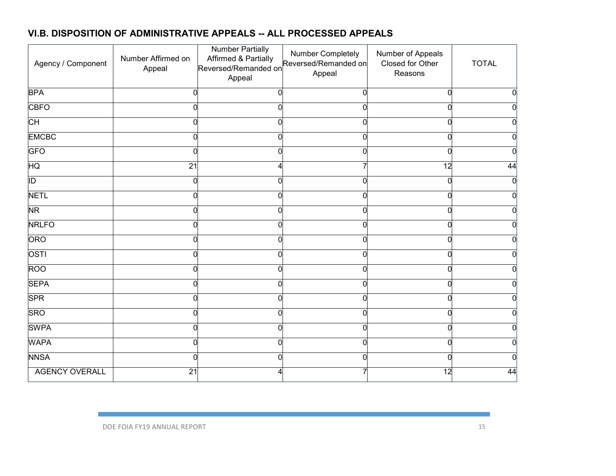#### **VI.B. DISPOSITION OF ADMINISTRATIVE APPEALS -- ALL PROCESSED APPEALS**

| Agency / Component    | Number Affirmed on<br>Appeal | <b>Number Partially</b><br>Affirmed & Partially<br>Reversed/Remanded on<br>Appeal | Number Completely<br>Reversed/Remanded on<br>Appeal | Number of Appeals<br>Closed for Other<br>Reasons | <b>TOTAL</b>   |
|-----------------------|------------------------------|-----------------------------------------------------------------------------------|-----------------------------------------------------|--------------------------------------------------|----------------|
| <b>BPA</b>            |                              | $\Omega$                                                                          |                                                     | $\Omega$                                         | $\mathbf 0$    |
| <b>CBFO</b>           |                              | $\Omega$                                                                          |                                                     | O                                                | $\overline{0}$ |
| <b>CH</b>             |                              | 0                                                                                 |                                                     | n                                                | $\overline{0}$ |
| <b>EMCBC</b>          |                              | 0                                                                                 |                                                     |                                                  | 0              |
| <b>GFO</b>            | ∩                            | $\overline{0}$                                                                    |                                                     | $\Omega$                                         | $\mathbf 0$    |
| HQ                    | $\overline{21}$              | 4                                                                                 |                                                     | $\overline{12}$                                  | 44             |
| $\overline{ID}$       | $\Omega$                     | 0                                                                                 |                                                     | 0                                                | $\mathbf 0$    |
| <b>NETL</b>           | n                            | $\Omega$                                                                          |                                                     | O                                                | $\mathbf 0$    |
| <b>NR</b>             | C                            | $\Omega$                                                                          |                                                     | $\Omega$                                         | $\overline{0}$ |
| <b>NRLFO</b>          |                              | 0                                                                                 |                                                     | n                                                | 0              |
| <b>ORO</b>            |                              | 0                                                                                 |                                                     |                                                  | 0              |
| OSTI                  |                              | $\Omega$                                                                          |                                                     | ŋ                                                | $\overline{0}$ |
| <b>ROO</b>            |                              | 0                                                                                 |                                                     |                                                  | $\Omega$       |
| <b>SEPA</b>           |                              | 0                                                                                 |                                                     | n                                                | 0              |
| <b>SPR</b>            | n                            | $\Omega$                                                                          |                                                     | O                                                | 0              |
| <b>SRO</b>            | ſ                            | $\Omega$                                                                          |                                                     | $\Omega$                                         | $\mathbf 0$    |
| <b>SWPA</b>           | U                            | $\Omega$                                                                          |                                                     | O                                                | $\overline{0}$ |
| <b>WAPA</b>           | r                            | 0                                                                                 |                                                     | n                                                | 0              |
| <b>NNSA</b>           |                              | 0                                                                                 |                                                     | n                                                | $\Omega$       |
| <b>AGENCY OVERALL</b> | $\overline{21}$              |                                                                                   |                                                     | $\overline{12}$                                  | 44             |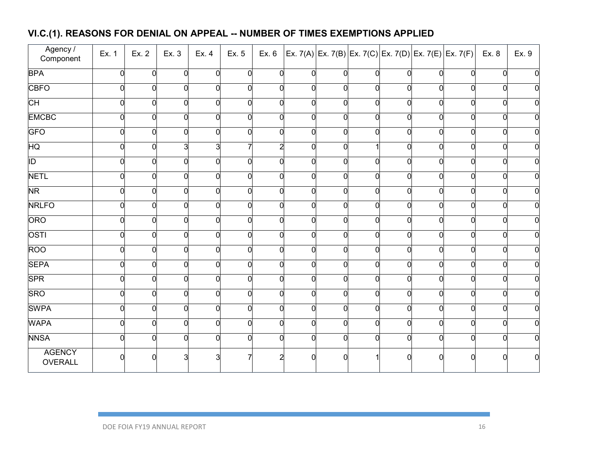# **VI.C.(1). REASONS FOR DENIAL ON APPEAL -- NUMBER OF TIMES EXEMPTIONS APPLIED**

| Agency /<br>Component    | Ex. 1 | Ex. 2          | Ex. 3 | Ex. 4    | Ex. 5          |   |          |                |   |   | Ex. 6 Ex. 7(A) Ex. 7(B) Ex. 7(C) Ex. 7(D) Ex. 7(E) Ex. 7(F) Ex. 8 |          |          | Ex. 9 |
|--------------------------|-------|----------------|-------|----------|----------------|---|----------|----------------|---|---|-------------------------------------------------------------------|----------|----------|-------|
| <b>BPA</b>               |       | <sup>o</sup>   |       |          | 0              |   |          | $\Omega$       |   |   | $\Omega$                                                          | $\Omega$ |          |       |
| <b>CBFO</b>              |       | 0              |       |          | 0              |   | $\Omega$ | 0              |   |   | $\overline{0}$                                                    |          |          |       |
| CH                       |       | 0              |       | $\Omega$ | $\overline{0}$ |   | $\Omega$ | $\Omega$       |   |   | $\overline{0}$                                                    | 0        | 0        |       |
| <b>EMCBC</b>             |       | $\overline{0}$ |       | O        | $\overline{0}$ |   | $\Omega$ | $\overline{0}$ |   | O | $\overline{0}$                                                    | ∩        | $\Omega$ |       |
| <b>GFO</b>               |       | 0              |       | 0        | $\mathbf 0$    |   | $\Omega$ | 0              |   |   | $\overline{0}$                                                    |          | 0        |       |
| HQ                       |       | 0              |       |          |                |   |          | $\Omega$       |   |   | $\overline{0}$                                                    |          |          |       |
| $\overline{ID}$          |       | 0              |       | O        | $\overline{0}$ |   | $\Omega$ | $\overline{0}$ |   |   | $\overline{0}$                                                    | n        | ∩        |       |
| <b>NETL</b>              |       | 0              |       | 0        | $\overline{0}$ |   | $\Omega$ | $\overline{0}$ |   |   | $\overline{0}$                                                    |          | 0        |       |
| NR <sup>1</sup>          |       | $\overline{0}$ |       | O        | $\mathbf 0$    |   | $\Omega$ | $\overline{0}$ |   |   | $\overline{0}$                                                    |          | $\Omega$ |       |
| <b>NRLFO</b>             | ∩     | $\overline{0}$ |       | $\Omega$ | $\overline{0}$ | U | $\Omega$ | $\overline{0}$ | 0 | ∩ | $\overline{0}$                                                    | $\Omega$ | $\Omega$ |       |
| ORO                      |       | 0              |       | $\Omega$ | $\overline{0}$ |   | $\Omega$ | $\overline{0}$ |   |   | $\overline{0}$                                                    |          | 0        |       |
| OSTI                     |       | 0              |       |          | $\overline{0}$ |   |          | $\Omega$       |   |   | $\overline{0}$                                                    |          |          |       |
| <b>ROO</b>               |       | 0              |       | O        | $\overline{0}$ |   | $\Omega$ | $\overline{0}$ |   |   | $\overline{0}$                                                    | ∩        | $\Omega$ |       |
| <b>SEPA</b>              |       | $\overline{0}$ |       | U        | $\overline{0}$ |   | $\Omega$ | $\overline{0}$ |   |   | $\overline{0}$                                                    |          | $\Omega$ |       |
| <b>SPR</b>               |       | 0              |       | O        | $\overline{0}$ |   | ∩        | $\Omega$       |   |   | $\overline{0}$                                                    | U        |          |       |
| <b>SRO</b>               |       | 0              |       | ∩        | $\overline{0}$ |   | $\Omega$ | $\overline{0}$ |   |   | $\overline{0}$                                                    |          | U        |       |
| <b>SWPA</b>              |       | $\overline{0}$ |       | O        | $\overline{0}$ |   | $\Omega$ | $\overline{0}$ |   |   | $\overline{0}$                                                    |          | $\Omega$ |       |
| <b>WAPA</b>              |       | 0              |       | $\Omega$ | $\overline{0}$ |   | $\Omega$ | $\Omega$       |   |   | $\overline{0}$                                                    | n        | U        |       |
| <b>NNSA</b>              |       | 0              |       |          | $\overline{0}$ |   |          | $\Omega$       |   |   | $\overline{0}$                                                    |          | U        |       |
| <b>AGENCY</b><br>OVERALL |       |                |       |          |                |   |          |                |   |   | $\Omega$                                                          |          |          | U     |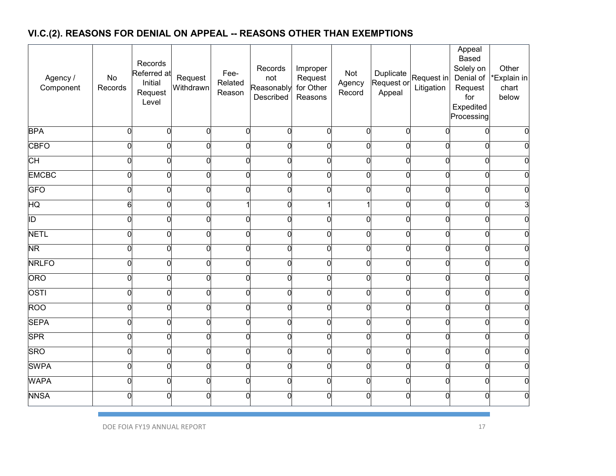# **VI.C.(2). REASONS FOR DENIAL ON APPEAL -- REASONS OTHER THAN EXEMPTIONS**

| Agency /<br>Component    | No<br>Records | Records<br>Referred at<br>Initial<br>Request<br>Level | Request<br>Withdrawn | Fee-<br>Related<br>Reason | Records<br>not<br>Reasonably<br>Described | Improper<br>Request<br>for Other<br>Reasons | Not<br>Agency<br>Record | Duplicate<br>Request or<br>Appeal | Request in<br>Litigation | Appeal<br><b>Based</b><br>Solely on<br>Denial of<br>Request<br>for<br>Expedited<br>Processing | Other<br>*Explain in<br>chart<br>below |
|--------------------------|---------------|-------------------------------------------------------|----------------------|---------------------------|-------------------------------------------|---------------------------------------------|-------------------------|-----------------------------------|--------------------------|-----------------------------------------------------------------------------------------------|----------------------------------------|
| <b>BPA</b>               | 0             | $\Omega$                                              | $\Omega$             | $\overline{0}$            | $\Omega$                                  | $\overline{0}$                              | 0                       | $\overline{0}$                    | $\Omega$                 | $\overline{0}$                                                                                |                                        |
| <b>CBFO</b>              | O             | $\overline{0}$                                        | $\Omega$             | $\overline{0}$            | $\Omega$                                  | $\overline{0}$                              | $\mathbf{0}$            | $\overline{0}$                    | $\Omega$                 | $\overline{0}$                                                                                |                                        |
| $\overline{\mathsf{CH}}$ | n             | $\Omega$                                              | O                    | $\overline{0}$            | $\Omega$                                  | $\Omega$                                    | 0                       | $\Omega$                          | $\Omega$                 | $\mathbf 0$                                                                                   |                                        |
| <b>EMCBC</b>             | n             | $\Omega$                                              | O                    | $\overline{0}$            | $\Omega$                                  | $\Omega$                                    | $\mathbf 0$             | 0                                 | $\Omega$                 | $\overline{0}$                                                                                |                                        |
| <b>GFO</b>               |               | $\Omega$                                              | ∩                    | $\mathbf 0$               | ∩                                         | $\Omega$                                    | 0                       | 0                                 | O                        | $\mathbf 0$                                                                                   |                                        |
| HQ                       | 6             | O                                                     | n                    |                           | C                                         |                                             | 1                       | $\overline{0}$                    | $\Omega$                 | $\overline{0}$                                                                                |                                        |
| ID                       |               | $\Omega$                                              | O                    | $\mathbf 0$               | ∩                                         | $\Omega$                                    | 0                       | $\Omega$                          | 0                        | $\mathbf 0$                                                                                   |                                        |
| <b>NETL</b>              |               | $\Omega$                                              | O                    | 0                         | C                                         | $\Omega$                                    | 0                       | $\Omega$                          | 0                        | $\mathbf 0$                                                                                   |                                        |
| <b>NR</b>                |               | $\Omega$                                              | n                    | $\mathbf 0$               | C                                         | $\Omega$                                    | 0                       | $\overline{0}$                    | 0                        | $\mathbf 0$                                                                                   |                                        |
| <b>NRLFO</b>             | O             | $\Omega$                                              | O                    | $\mathbf 0$               | O                                         | $\Omega$                                    | 0                       | $\overline{0}$                    | $\Omega$                 | $\mathbf 0$                                                                                   |                                        |
| ORO                      |               | $\Omega$                                              | $\Omega$             | $\overline{0}$            | $\Omega$                                  | $\overline{0}$                              | $\mathbf 0$             | $\overline{0}$                    | $\overline{0}$           | $\overline{0}$                                                                                |                                        |
| OSTI                     |               | $\Omega$                                              | C                    | $\mathbf 0$               | ſ                                         | $\Omega$                                    | $\mathbf{0}$            | $\overline{0}$                    | 0                        | $\mathbf 0$                                                                                   |                                        |
| <b>ROO</b>               |               | $\Omega$                                              | O                    | $\mathbf 0$               | ∩                                         | $\Omega$                                    | 0                       | $\Omega$                          | $\Omega$                 | $\mathbf 0$                                                                                   |                                        |
| <b>SEPA</b>              | O             | 0                                                     | $\Omega$             | $\mathbf 0$               | $\Omega$                                  | $\overline{0}$                              | $\mathbf 0$             | $\overline{0}$                    | 0                        | $\overline{0}$                                                                                |                                        |
| <b>SPR</b>               | n             | $\Omega$                                              | $\Omega$             | $\overline{0}$            | $\Omega$                                  | $\Omega$                                    | $\overline{0}$          | $\Omega$                          | $\Omega$                 | $\overline{0}$                                                                                |                                        |
| <b>SRO</b>               | O             | $\overline{0}$                                        | $\Omega$             | $\overline{0}$            | $\Omega$                                  | $\overline{0}$                              | $\mathbf 0$             | $\overline{0}$                    | 0                        | $\overline{0}$                                                                                |                                        |
| <b>SWPA</b>              | 0             | 0                                                     | $\Omega$             | $\mathbf 0$               | $\Omega$                                  | $\overline{0}$                              | 0                       | $\overline{0}$                    | 0                        | $\overline{0}$                                                                                |                                        |
| <b>WAPA</b>              | 0             | $\overline{0}$                                        | $\Omega$             | $\mathbf 0$               | $\Omega$                                  | $\mathbf 0$                                 | 0                       | $\overline{0}$                    | 0                        | $\mathbf 0$                                                                                   |                                        |
| <b>NNSA</b>              |               | O                                                     |                      | $\mathbf 0$               |                                           | C                                           | 0                       | U                                 | O                        | $\Omega$                                                                                      |                                        |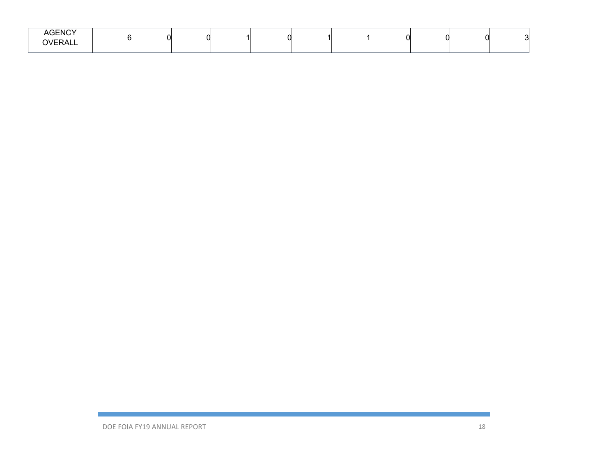| AGENCY<br>OVERALL |  |  | . . |  |  |  |  |  |  |  |  |
|-------------------|--|--|-----|--|--|--|--|--|--|--|--|
|-------------------|--|--|-----|--|--|--|--|--|--|--|--|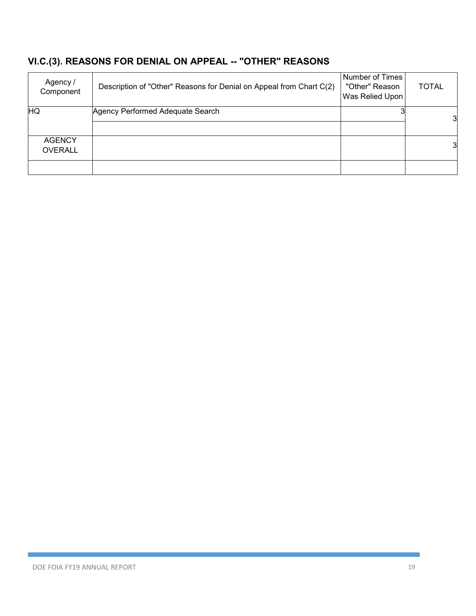# **VI.C.(3). REASONS FOR DENIAL ON APPEAL -- "OTHER" REASONS**

| Agency /<br>Component | Description of "Other" Reasons for Denial on Appeal from Chart C(2) | Number of Times<br>"Other" Reason<br>Was Relied Upon | <b>TOTAL</b> |
|-----------------------|---------------------------------------------------------------------|------------------------------------------------------|--------------|
| HQ                    | Agency Performed Adequate Search                                    |                                                      | 3            |
|                       |                                                                     |                                                      |              |
| <b>AGENCY</b>         |                                                                     |                                                      | 3            |
| <b>OVERALL</b>        |                                                                     |                                                      |              |
|                       |                                                                     |                                                      |              |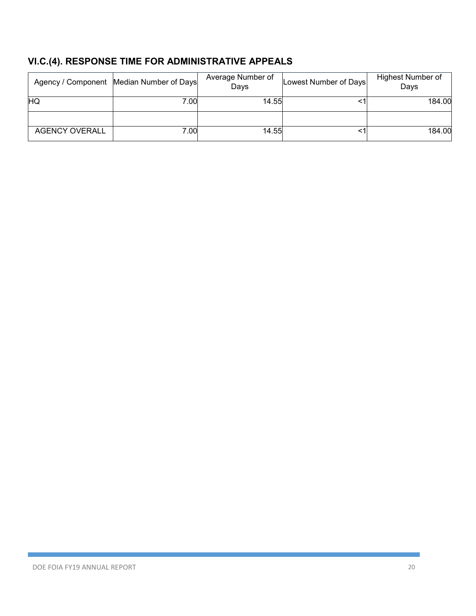# **VI.C.(4). RESPONSE TIME FOR ADMINISTRATIVE APPEALS**

|                       | Agency / Component   Median Number of Days | Average Number of<br>Days | Lowest Number of Days | <b>Highest Number of</b><br>Days |
|-----------------------|--------------------------------------------|---------------------------|-----------------------|----------------------------------|
| HQ                    | 7.00                                       | 14.55                     |                       | 184.00                           |
|                       |                                            |                           |                       |                                  |
| <b>AGENCY OVERALL</b> | 7.00                                       | 14.55                     |                       | 184.00                           |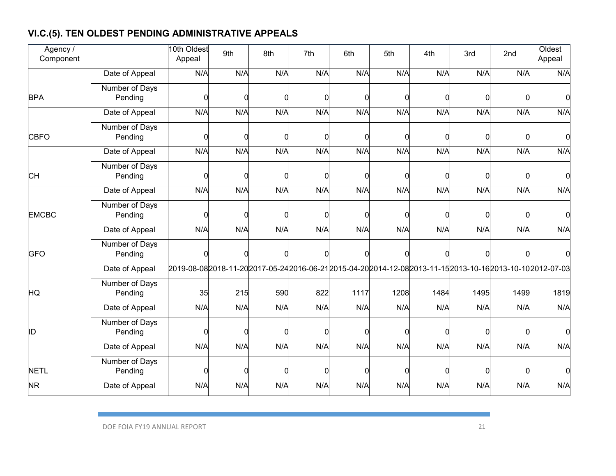# **VI.C.(5). TEN OLDEST PENDING ADMINISTRATIVE APPEALS**

| Agency /<br>Component  |                           | 10th Oldest<br>Appeal | 9th | 8th | 7th                                                                                                  | 6th  | 5th      | 4th  | 3rd      | 2nd  | Oldest<br>Appeal |
|------------------------|---------------------------|-----------------------|-----|-----|------------------------------------------------------------------------------------------------------|------|----------|------|----------|------|------------------|
|                        | Date of Appeal            | N/A                   | N/A | N/A | N/A                                                                                                  | N/A  | N/A      | N/A  | N/A      | N/A  | N/A              |
| <b>BPA</b>             | Number of Days<br>Pending | $\Omega$              | n   |     |                                                                                                      |      | C        |      | ∩        |      |                  |
|                        | Date of Appeal            | N/A                   | N/A | N/A | N/A                                                                                                  | N/A  | N/A      | N/A  | N/A      | N/A  | N/A              |
| <b>CBFO</b>            | Number of Days<br>Pending | 0                     | n   |     |                                                                                                      |      | C        |      | ∩        | C    |                  |
|                        | Date of Appeal            | N/A                   | N/A | N/A | N/A                                                                                                  | N/A  | N/A      | N/A  | N/A      | N/A  | N/A              |
| <b>CH</b>              | Number of Days<br>Pending | $\mathbf 0$           |     |     |                                                                                                      | ſ    | $\Omega$ |      | 0        | ∩    |                  |
|                        | Date of Appeal            | N/A                   | N/A | N/A | N/A                                                                                                  | N/A  | N/A      | N/A  | N/A      | N/A  | N/A              |
| <b>EMCBC</b>           | Number of Days<br>Pending | 0                     | n   |     |                                                                                                      | C    | $\Omega$ | ∩    | $\Omega$ | ∩    |                  |
|                        | Date of Appeal            | N/A                   | N/A | N/A | N/A                                                                                                  | N/A  | N/A      | N/A  | N/A      | N/A  | N/A              |
| <b>GFO</b>             | Number of Days<br>Pending | $\Omega$              |     |     |                                                                                                      |      |          | r    | ∩        |      |                  |
|                        | Date of Appeal            |                       |     |     | 2019-08-082018-11-202017-05-242016-06-212015-04-202014-12-082013-11-152013-10-162013-10-102012-07-03 |      |          |      |          |      |                  |
| HQ                     | Number of Days<br>Pending | 35                    | 215 | 590 | 822                                                                                                  | 1117 | 1208     | 1484 | 1495     | 1499 | 1819             |
|                        | Date of Appeal            | N/A                   | N/A | N/A | N/A                                                                                                  | N/A  | N/A      | N/A  | N/A      | N/A  | N/A              |
| ID                     | Number of Days<br>Pending | $\Omega$              | ∩   |     |                                                                                                      |      | C        |      | ∩        | ∩    |                  |
|                        | Date of Appeal            | N/A                   | N/A | N/A | N/A                                                                                                  | N/A  | N/A      | N/A  | N/A      | N/A  | N/A              |
| <b>NETL</b>            | Number of Days<br>Pending | 0                     | n   |     |                                                                                                      |      | C        |      | ∩        |      |                  |
| $\overline{\text{NR}}$ | Date of Appeal            | N/A                   | N/A | N/A | N/A                                                                                                  | N/A  | N/A      | N/A  | N/A      | N/A  | N/A              |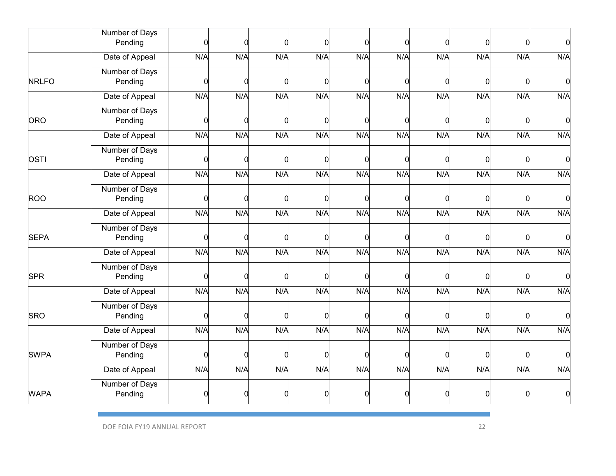|              | Number of Days            |     |     |          |     |          |     |          |          |     |                |
|--------------|---------------------------|-----|-----|----------|-----|----------|-----|----------|----------|-----|----------------|
|              | Pending                   | 0   | ი   | O        |     | n        | 0   | 0        | $\Omega$ | n   | $\Omega$       |
|              | Date of Appeal            | N/A | N/A | N/A      | N/A | N/A      | N/A | N/A      | N/A      | N/A | N/A            |
|              | Number of Days            |     |     |          |     |          |     |          |          |     |                |
| <b>NRLFO</b> | Pending                   | 0   |     | O        |     | ŋ        | 0   | O        | $\Omega$ | O   | 0              |
|              | Date of Appeal            | N/A | N/A | N/A      | N/A | N/A      | N/A | N/A      | N/A      | N/A | N/A            |
|              | Number of Days            |     |     |          |     |          |     |          |          |     |                |
| ORO          | Pending                   | 0   | O   | 0        |     | ŋ        | 0   | 0        | $\Omega$ | O   | $\overline{0}$ |
|              | Date of Appeal            | N/A | N/A | N/A      | N/A | N/A      | N/A | N/A      | N/A      | N/A | N/A            |
|              | Number of Days            |     |     |          |     |          |     |          |          |     |                |
| <b>OSTI</b>  | Pending                   | 0   | O   | 0        | U   | 0        | 0   | 0        | 0        | 0   | $\Omega$       |
|              | Date of Appeal            | N/A | N/A | N/A      | N/A | N/A      | N/A | N/A      | N/A      | N/A | N/A            |
|              | Number of Days            |     |     |          |     |          |     |          |          |     |                |
| <b>ROO</b>   | Pending                   | 0   | 0   | $\Omega$ |     | O        | 0   | $\Omega$ | 0        | n   | $\overline{0}$ |
|              | Date of Appeal            | N/A | N/A | N/A      | N/A | N/A      | N/A | N/A      | N/A      | N/A | N/A            |
|              | Number of Days            |     |     |          |     |          |     |          |          |     |                |
| <b>SEPA</b>  | Pending                   | 0   | ი   | 0        |     | 0        | 0   | 0        | $\Omega$ | O   | $\Omega$       |
|              | Date of Appeal            | N/A | N/A | N/A      | N/A | N/A      | N/A | N/A      | N/A      | N/A | N/A            |
|              | Number of Days            |     |     |          |     |          |     |          |          |     |                |
| <b>SPR</b>   | Pending                   | 0   | n   | n        |     | ŋ        | 0   | n        | 0        | n   | $\Omega$       |
|              | Date of Appeal            | N/A | N/A | N/A      | N/A | N/A      | N/A | N/A      | N/A      | N/A | N/A            |
|              | Number of Days            |     |     |          |     |          |     |          |          |     |                |
| <b>SRO</b>   | Pending                   | 0   | n   | ŋ        |     | ŋ        | O   | O        | $\Omega$ | O   | n              |
|              | Date of Appeal            | N/A | N/A | N/A      | N/A | N/A      | N/A | N/A      | N/A      | N/A | N/A            |
|              | Number of Days            |     |     |          |     |          |     |          |          |     |                |
| <b>SWPA</b>  | Pending                   | 0   | 0   | 0        | n   | $\Omega$ | O   | O        | 0        | O   | $\Omega$       |
|              | Date of Appeal            | N/A | N/A | N/A      | N/A | N/A      | N/A | N/A      | N/A      | N/A | N/A            |
| <b>WAPA</b>  | Number of Days<br>Pending |     |     |          |     |          |     |          | n        |     |                |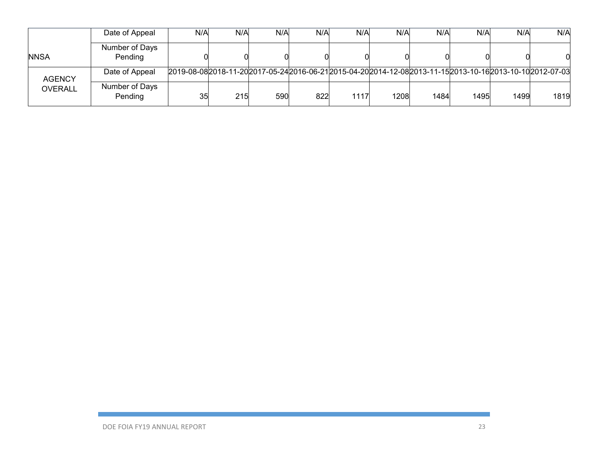|                | Date of Appeal            | N/A                                                                                                           | N/A | N/A | N/A | N/A  | N/A  | N/A  | N/A  | N/A  | N/A  |
|----------------|---------------------------|---------------------------------------------------------------------------------------------------------------|-----|-----|-----|------|------|------|------|------|------|
| <b>NNSA</b>    | Number of Days<br>Pending |                                                                                                               |     |     |     |      |      |      |      |      |      |
| <b>AGENCY</b>  | Date of Appeal            | 2019-08-08 2018-11-20 2017-05-24 2016-06-21 2015-04-20 2014-12-08 2013-11-15 2013-10-16 2013-10-10 2012-07-03 |     |     |     |      |      |      |      |      |      |
| <b>OVERALL</b> | Number of Days<br>Pending | 35                                                                                                            | 215 | 590 | 822 | 1117 | 1208 | 1484 | 1495 | 1499 | 1819 |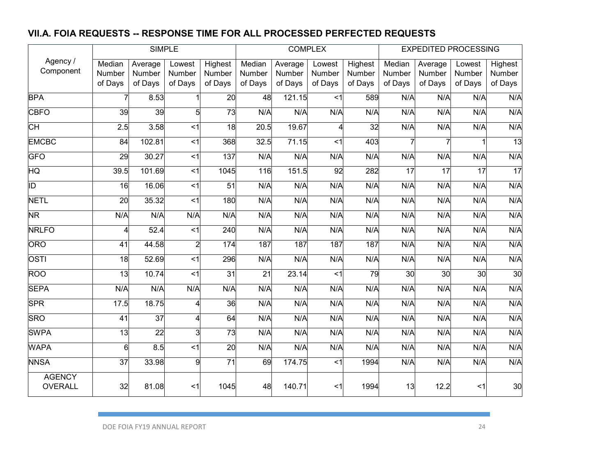### **VII.A. FOIA REQUESTS -- RESPONSE TIME FOR ALL PROCESSED PERFECTED REQUESTS**

|                          |                 | <b>SIMPLE</b> |                   |                    |         | <b>COMPLEX</b> |                |         |                 | <b>EXPEDITED PROCESSING</b> |                 |                 |
|--------------------------|-----------------|---------------|-------------------|--------------------|---------|----------------|----------------|---------|-----------------|-----------------------------|-----------------|-----------------|
| Agency /                 | Median          | Average       | Lowest            | Highest            | Median  | Average        | Lowest         | Highest | Median          | Average                     | Lowest          | Highest         |
| Component                | Number          | Number        | Number            | Number             | Number  | Number         | Number         | Number  | Number          | Number                      | Number          | Number          |
|                          | of Days         | of Days       | of Days           | of Days            | of Days | of Days        | of Days        | of Days | of Days         | of Days                     | of Days         | of Days         |
| <b>BPA</b>               |                 | 8.53          |                   | 20                 | 48      | 121.15         | < 1            | 589     | N/A             | $N/\overline{A}$            | N/A             | N/A             |
| <b>CBFO</b>              | 39              | 39            | 5                 | 73                 | N/A     | N/A            | N/A            | N/A     | N/A             | N/A                         | N/A             | N/A             |
| CН                       | 2.5             | 3.58          | $<$ 1             | $\overline{18}$    | 20.5    | 19.67          | 4              | 32      | N/A             | N/A                         | N/A             | N/A             |
| <b>EMCBC</b>             | 84              | 102.81        | $\leq$            | 368                | 32.5    | 71.15          | $\overline{4}$ | 403     |                 |                             |                 | 13              |
| <b>GFO</b>               | 29              | 30.27         | $<$ 1             | 137                | N/A     | N/A            | N/A            | N/A     | N/A             | N/A                         | N/A             | N/A             |
| HQ                       | 39.5            | 101.69        | $<$ 1             | $\overline{10}$ 45 | 116     | 151.5          | 92             | 282     | $\overline{17}$ | $\overline{17}$             | $\overline{17}$ | 17              |
| ĪD                       | $\overline{16}$ | 16.06         | $<$ 1             | $\overline{51}$    | N/A     | N/A            | N/A            | N/A     | N/A             | N/A                         | N/A             | N/A             |
| <b>NETL</b>              | 20              | 35.32         | $<$ 1             | 180                | N/A     | N/A            | N/A            | N/A     | N/A             | N/A                         | N/A             | N/A             |
| $\overline{\textsf{NR}}$ | N/A             | N/A           | N/A               | N/A                | N/A     | N/A            | N/A            | N/A     | N/A             | N/A                         | N/A             | N/A             |
| <b>NRLFO</b>             | $\overline{4}$  | 52.4          | $\leq$ 1          | $\overline{240}$   | N/A     | N/A            | N/A            | N/A     | N/A             | N/A                         | N/A             | N/A             |
| ORO                      | $\overline{41}$ | 44.58         | $\overline{2}$    | 174                | 187     | 187            | 187            | 187     | N/A             | N/A                         | N/A             | N/A             |
| <b>OSTI</b>              | 18              | 52.69         | $<$ 1             | 296                | N/A     | N/A            | N/A            | N/A     | N/A             | N/A                         | N/A             | N/A             |
| <b>ROO</b>               | 13              | 10.74         | < 1               | 31                 | 21      | 23.14          | < 1            | 79      | 30              | 30                          | 30              | $\overline{30}$ |
| <b>SEPA</b>              | N/A             | N/A           | N/A               | N/A                | N/A     | N/A            | N/A            | N/A     | N/A             | N/A                         | N/A             | N/A             |
| <b>SPR</b>               | 17.5            | 18.75         | Δ                 | 36                 | N/A     | N/A            | N/A            | N/A     | N/A             | N/A                         | N/A             | N/A             |
| <b>SRO</b>               | 41              | 37            | Δ                 | 64                 | N/A     | N/A            | N/A            | N/A     | N/A             | N/A                         | N/A             | N/A             |
| <b>SWPA</b>              | $\overline{13}$ | 22            | 3                 | 73                 | N/A     | N/A            | N/A            | N/A     | N/A             | N/A                         | N/A             | N/A             |
| <b>WAPA</b>              | 6               | 8.5           | $\overline{\leq}$ | $\overline{20}$    | N/A     | N/A            | N/A            | N/A     | N/A             | N/A                         | N/A             | N/A             |
| <b>NNSA</b>              | 37              | 33.98         | 9                 | $\overline{71}$    | 69      | 174.75         | $<$ 1          | 1994    | N/A             | N/A                         | N/A             | N/A             |
| <b>AGENCY</b>            |                 |               |                   |                    |         |                |                |         |                 |                             |                 |                 |
| <b>OVERALL</b>           | 32              | 81.08         | $<$ 1             | 1045               | 48      | 140.71         | $<$ 1          | 1994    | 13              | 12.2                        | $<$ 1           | 30              |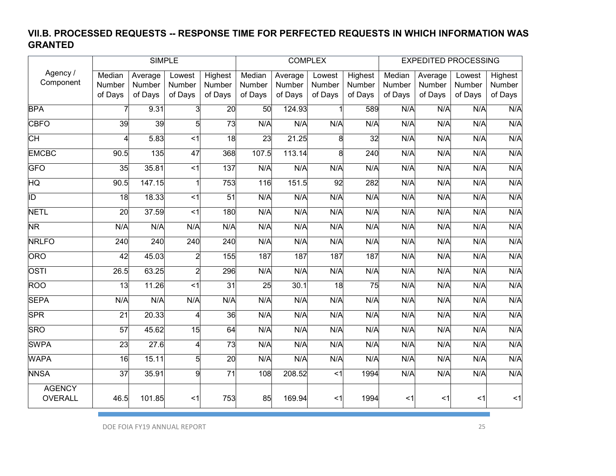### **VII.B. PROCESSED REQUESTS -- RESPONSE TIME FOR PERFECTED REQUESTS IN WHICH INFORMATION WAS GRANTED**

|                                 |                 |                   | <b>SIMPLE</b>           |                 |                 | <b>COMPLEX</b> |                 |                 |         | <b>EXPEDITED PROCESSING</b> |         |         |
|---------------------------------|-----------------|-------------------|-------------------------|-----------------|-----------------|----------------|-----------------|-----------------|---------|-----------------------------|---------|---------|
| Agency /                        | Median          | Average           | Lowest                  | Highest         | Median          | Average        | Lowest          | Highest         | Median  | Average                     | Lowest  | Highest |
| Component                       | Number          | Number            | Number                  | Number          | Number          | Number         | Number          | Number          | Number  | Number                      | Number  | Number  |
|                                 | of Days         | of Days           | of Days                 | of Days         | of Days         | of Days        | of Days         | of Days         | of Days | of Days                     | of Days | of Days |
| <b>BPA</b>                      |                 | 9.31              |                         | $\overline{20}$ | 50              | 124.93         |                 | 589             | N/A     | N/A                         | N/A     | N/A     |
| <b>CBFO</b>                     | $\overline{39}$ | 39                | 5                       | $\overline{73}$ | N/A             | N/A            | N/A             | N/A             | N/A     | N/A                         | N/A     | N/A     |
| CН                              | 4               | 5.83              | $\leq$ 1                | $\overline{18}$ | 23              | 21.25          | 8               | 32              | N/A     | N/A                         | N/A     | N/A     |
| <b>EMCBC</b>                    | 90.5            | 135               | 47                      | 368             | 107.5           | 113.14         | 8               | 240             | N/A     | N/A                         | N/A     | N/A     |
| GFO                             | 35              | 35.81             | $\overline{\mathbf{c}}$ | 137             | N/A             | N/A            | N/A             | N/A             | N/A     | N/A                         | N/A     | N/A     |
| $\overline{\text{HQ}}$          | 90.5            | 147.15            |                         | 753             | 116             | 151.5          | 92              | 282             | N/A     | N/A                         | N/A     | N/A     |
| ĪD                              | 18              | 18.33             | < 1                     | $\overline{51}$ | N/A             | N/A            | N/A             | N/A             | N/A     | N/A                         | N/A     | N/A     |
| <b>NETL</b>                     | $\overline{20}$ | 37.59             | $<$ 1                   | 180             | N/A             | N/A            | N/A             | N/A             | N/A     | N/A                         | N/A     | N/A     |
| $\overline{\textsf{NR}}$        | N/A             | N/A               | N/A                     | N/A             | N/A             | N/A            | N/A             | N/A             | N/A     | N/A                         | N/A     | N/A     |
| <b>NRLFO</b>                    | 240             | 240               | 240                     | 240             | N/A             | N/A            | N/A             | N/A             | N/A     | N/A                         | N/A     | N/A     |
| <b>ORO</b>                      | 42              | 45.03             | $\overline{2}$          | 155             | 187             | 187            | 187             | 187             | N/A     | N/A                         | N/A     | N/A     |
| OSTI                            | 26.5            | 63.25             | $\overline{2}$          | 296             | N/A             | N/A            | N/A             | N/A             | N/A     | N/A                         | N/A     | N/A     |
| <b>ROO</b>                      | $\overline{13}$ | 11.26             | $\overline{\leq}$       | $\overline{31}$ | $\overline{25}$ | 30.1           | $\overline{18}$ | $\overline{75}$ | N/A     | N/A                         | N/A     | N/A     |
| <b>SEPA</b>                     | N/A             | N/A               | N/A                     | N/A             | N/A             | N/A            | N/A             | N/A             | N/A     | N/A                         | N/A     | N/A     |
| <b>SPR</b>                      | 21              | 20.33             | 4                       | 36              | N/A             | N/A            | N/A             | N/A             | N/A     | N/A                         | N/A     | N/A     |
| <b>SRO</b>                      | 57              | 45.62             | 15                      | 64              | N/A             | N/A            | N/A             | N/A             | N/A     | N/A                         | N/A     | N/A     |
| <b>SWPA</b>                     | 23              | $\overline{27.6}$ | 4                       | $\overline{73}$ | N/A             | N/A            | N/A             | N/A             | N/A     | N/A                         | N/A     | N/A     |
| <b>WAPA</b>                     | 16              | 15.11             | 5                       | 20              | N/A             | N/A            | N/A             | N/A             | N/A     | N/A                         | N/A     | N/A     |
| <b>NNSA</b>                     | $\overline{37}$ | 35.91             | 9                       | $\overline{71}$ | 108             | 208.52         | $<$ 1           | 1994            | N/A     | N/A                         | N/A     | N/A     |
| <b>AGENCY</b><br><b>OVERALL</b> | 46.5            | 101.85            | $<$ 1                   | 753             | 85              | 169.94         | <1              | 1994            | $<$ 1   | <1                          | $<$ 1   | $<$ 1   |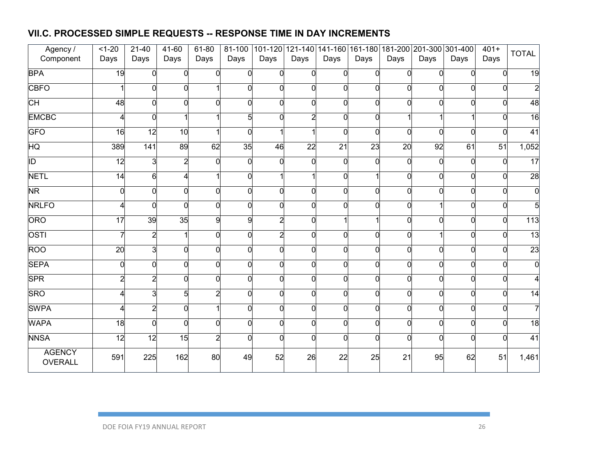### **VII.C. PROCESSED SIMPLE REQUESTS -- RESPONSE TIME IN DAY INCREMENTS**

| Agency /                 | $1 - 20$        | $21 - 40$        | 41-60          | 61-80    | 81-100         |          |                 |                 |          |          | 101-120 121-140 141-160 161-180 181-200 201-300 301-400 |          | $401 +$  | <b>TOTAL</b>    |
|--------------------------|-----------------|------------------|----------------|----------|----------------|----------|-----------------|-----------------|----------|----------|---------------------------------------------------------|----------|----------|-----------------|
| Component                | Days            | Days             | Days           | Days     | Days           | Days     | Days            | Days            | Days     | Days     | Days                                                    | Days     | Days     |                 |
| <b>BPA</b>               | 19              | $\overline{0}$   | $\Omega$       | $\Omega$ | $\overline{0}$ |          | $\Omega$        | $\overline{0}$  | $\Omega$ | U        | $\overline{0}$                                          | $\Omega$ | $\Omega$ | 19              |
| <b>CBFO</b>              |                 | 0                |                |          | $\Omega$       |          | $\Omega$        | $\overline{0}$  |          | O        | $\overline{0}$                                          | $\Omega$ | ∩        |                 |
| СH                       | 48              | $\overline{0}$   |                | ∩        | 0              |          | 0               | $\overline{0}$  |          | n        | $\overline{0}$                                          | $\Omega$ | U        | 48              |
| <b>EMCBC</b>             |                 | 0                |                |          | $\overline{5}$ |          | $\overline{2}$  | $\overline{0}$  | $\Omega$ |          | 1                                                       |          | ∩        | 16              |
| <b>GFO</b>               | 16              | 12               | 10             |          | $\overline{0}$ |          |                 | $\overline{0}$  | $\Omega$ | 0        | $\overline{0}$                                          | $\Omega$ | O        | $\overline{41}$ |
| HQ                       | 389             | $\overline{141}$ | 89             | 62       | 35             | 46       | $\overline{22}$ | $\overline{21}$ | 23       | 20       | 92                                                      | 61       | 51       | 1,052           |
| 冋                        | 12              | دن               | $\overline{2}$ | $\Omega$ | $\overline{0}$ | $\Omega$ | $\Omega$        | $\overline{0}$  | U        | 0        | $\overline{0}$                                          | $\Omega$ | $\Omega$ | $\overline{17}$ |
| <b>NETL</b>              | 14              | 6                |                |          | 0              |          |                 | $\overline{0}$  |          | 0        | $\overline{0}$                                          | $\Omega$ | U        | 28              |
| NR                       |                 | 0                | $\Omega$       | $\Omega$ | $\overline{0}$ |          | $\Omega$        | $\overline{0}$  | $\Omega$ | 0        | $\overline{0}$                                          | $\Omega$ | ∩        |                 |
| <b>NRLFO</b>             |                 | $\overline{0}$   | $\Omega$       | $\Omega$ | $\overline{0}$ |          | $\Omega$        | $\overline{0}$  | U        | O        | 1                                                       | $\Omega$ | $\Omega$ |                 |
| ORO                      | $\overline{17}$ | 39               | 35             | 9        | 9              |          | $\Omega$        |                 |          | $\Omega$ | $\overline{0}$                                          | ∩        | 0        | 113             |
| <b>OSTI</b>              |                 | $\overline{a}$   |                | $\Omega$ | $\overline{0}$ | 2        | $\Omega$        | $\overline{0}$  | U        | 0        | $\mathbf{1}$                                            | $\Omega$ | U        | $\overline{13}$ |
| <b>ROO</b>               | 20              | 3                | $\Omega$       | $\Omega$ | $\overline{0}$ |          | $\Omega$        | $\overline{0}$  | U        | $\Omega$ | $\overline{0}$                                          | $\Omega$ | O        | $\overline{23}$ |
| <b>SEPA</b>              |                 | $\overline{0}$   | n              | ∩        | ō              |          | $\Omega$        | $\overline{0}$  |          | 0        | $\overline{0}$                                          | n        | U        |                 |
| <b>SPR</b>               | 2               | $\overline{a}$   | O              | $\Omega$ | $\overline{0}$ |          | $\Omega$        | $\overline{0}$  | U        | 0        | $\overline{0}$                                          | $\Omega$ | n        |                 |
| <b>SRO</b>               |                 | 3                | 5              |          | $\Omega$       |          | $\Omega$        | $\overline{0}$  |          | O        | $\overline{0}$                                          | $\Omega$ | $\Omega$ | 14              |
| <b>SWPA</b>              |                 | $\overline{a}$   |                |          | 0              |          | $\Omega$        | $\overline{0}$  |          | O        | $\overline{0}$                                          | ∩        | $\Omega$ |                 |
| <b>WAPA</b>              | 18              | $\overline{0}$   | $\Omega$       | $\Omega$ | 0              |          | $\Omega$        | $\overline{0}$  | O        | 0        | $\overline{0}$                                          | $\Omega$ | n        | $\overline{18}$ |
| <b>NNSA</b>              | 12              | 12               | 15             | 2        | $\Omega$       |          | $\Omega$        | $\overline{0}$  |          | U        | $\overline{0}$                                          | $\Omega$ |          | $\overline{41}$ |
| <b>AGENCY</b><br>OVERALL | 591             | 225              | 162            | 80       | 49             | 52       | 26              | 22              | 25       | 21       | 95                                                      | 62       | 51       | 1,461           |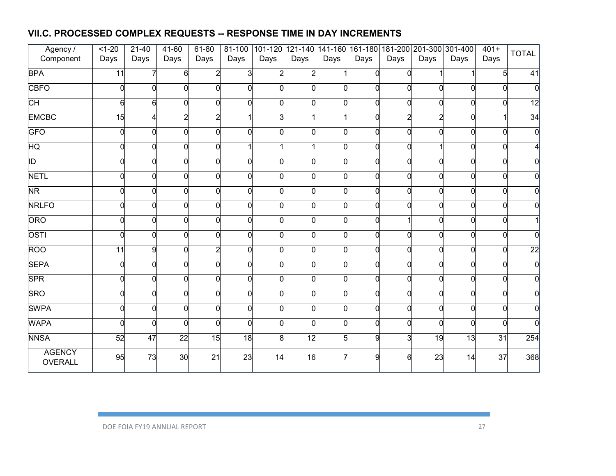### **VII.C. PROCESSED COMPLEX REQUESTS -- RESPONSE TIME IN DAY INCREMENTS**

| Agency /                 | $1 - 20$        | $21 - 40$      | 41-60          | 61-80    | 81-100         |      |          |                |              |                | 101-120 121-140 141-160 161-180 181-200 201-300 301-400 |          | $401+$   | <b>TOTAL</b>    |
|--------------------------|-----------------|----------------|----------------|----------|----------------|------|----------|----------------|--------------|----------------|---------------------------------------------------------|----------|----------|-----------------|
| Component                | Days            | Days           | Days           | Days     | Days           | Days | Days     | Days           | Days         | Days           | Days                                                    | Days     | Days     |                 |
| <b>BPA</b>               | 11              | 7              | 6              |          | 3              | 2    |          | $\mathbf{1}$   | <sub>0</sub> | $\Omega$       |                                                         |          | 5        | 41              |
| <b>CBFO</b>              | O               | $\overline{0}$ |                |          | $\Omega$       |      | $\Omega$ | 0              |              | $\Omega$       | $\overline{0}$                                          |          |          |                 |
| $\overline{\mathsf{CH}}$ | 6               | 6              |                |          | $\overline{0}$ |      | $\Omega$ | 0              | $\Omega$     | $\Omega$       | $\overline{0}$                                          |          |          | 12              |
| <b>EMCBC</b>             | 15              | 4              | $\overline{2}$ | 2        |                | 3    |          | 11             | $\Omega$     | $\overline{c}$ | $\overline{a}$                                          | $\Omega$ |          | 34              |
| <b>GFO</b>               | U               | $\overline{0}$ |                |          | $\Omega$       |      | $\Omega$ | 0              | $\Omega$     | $\Omega$       | $\overline{0}$                                          |          | $\Omega$ |                 |
| $\overline{\mathsf{HQ}}$ |                 | 0              |                | $\Omega$ |                |      |          | 0              | $\Omega$     | 0              | 1                                                       |          | 0        |                 |
| ĪD                       | $\Omega$        | 0              | $\Omega$       | $\Omega$ | $\Omega$       | n    | $\Omega$ | 0              | $\Omega$     | $\Omega$       | $\overline{0}$                                          |          | $\Omega$ |                 |
| <b>NETL</b>              |                 | $\mathbf 0$    |                | $\Omega$ | 0              |      | $\Omega$ | O              | $\Omega$     | $\Omega$       | $\overline{0}$                                          |          | $\Omega$ |                 |
| $\overline{\textsf{NR}}$ | O               | 0              |                | $\Omega$ | $\Omega$       |      | $\Omega$ | $\overline{0}$ | $\Omega$     | $\Omega$       | $\overline{0}$                                          |          | n        |                 |
| <b>NRLFO</b>             |                 | 0              | U              | $\Omega$ | $\Omega$       |      | $\Omega$ | 0              | <sub>0</sub> | $\Omega$       | $\overline{0}$                                          |          | O        |                 |
| ORO                      |                 | $\overline{0}$ |                | ∩        | $\overline{0}$ |      | $\Omega$ | O              |              |                | $\overline{0}$                                          |          | $\Omega$ |                 |
| OSTI                     |                 | 0              |                | $\Omega$ | $\Omega$       |      | $\Omega$ | 0              | $\Omega$     | $\Omega$       | $\overline{0}$                                          |          |          |                 |
| ROO                      | $\overline{11}$ | 9              |                |          | $\Omega$       |      | $\Omega$ | 0              | $\Omega$     | $\Omega$       | $\overline{0}$                                          |          | $\Omega$ | $\overline{22}$ |
| <b>SEPA</b>              | $\Omega$        | 0              |                | ∩        | 0              |      | $\Omega$ | O              | $\Omega$     | $\Omega$       | $\overline{0}$                                          |          | O        |                 |
| <b>SPR</b>               | ∩               | 0              |                | $\Omega$ | $\overline{0}$ |      | $\Omega$ | O              | $\Omega$     | $\Omega$       | $\overline{0}$                                          | n        | 0        |                 |
| <b>SRO</b>               |                 | 0              |                |          | $\Omega$       |      | $\Omega$ | $\overline{0}$ | $\Omega$     | $\Omega$       | $\overline{0}$                                          |          | O        |                 |
| <b>SWPA</b>              |                 | 0              |                | $\Omega$ | $\overline{0}$ |      | $\Omega$ | O              | $\Omega$     | $\Omega$       | $\overline{0}$                                          |          | 0        |                 |
| <b>WAPA</b>              | ∩               | $\overline{0}$ | $\Omega$       | $\Omega$ | $\overline{0}$ |      | $\Omega$ | O              | U            | $\Omega$       | $\overline{0}$                                          | ∩        | 0        |                 |
| <b>NNSA</b>              | 52              | 47             | 22             | 15       | 18             | 8    | 12       | 5 <sup>1</sup> | q            | 3              | 19                                                      | 13       | 31       | 254             |
| <b>AGENCY</b><br>OVERALL | 95              | 73             | 30             | 21       | 23             | 14   | 16       |                | O            | Բ              | 23                                                      | 14       | 37       | 368             |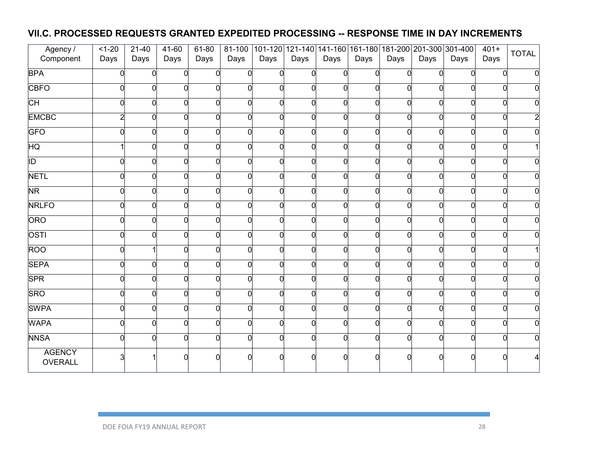### **VII.C. PROCESSED REQUESTS GRANTED EXPEDITED PROCESSING -- RESPONSE TIME IN DAY INCREMENTS**

| Agency /                 | $1 - 20$ | $21 - 40$      | 41-60    | 61-80    | 81-100         |      |          |                |          |          |                | 101-120 121-140 141-160 161-180 181-200 201-300 301-400 | $401+$   | <b>TOTAL</b> |
|--------------------------|----------|----------------|----------|----------|----------------|------|----------|----------------|----------|----------|----------------|---------------------------------------------------------|----------|--------------|
| Component                | Days     | Days           | Days     | Days     | Days           | Days | Days     | Days           | Days     | Days     | Days           | Days                                                    | Days     |              |
| <b>BPA</b>               |          | $\overline{0}$ | $\Omega$ | $\Omega$ | $\overline{0}$ |      | $\Omega$ | $\overline{0}$ | $\Omega$ | $\Omega$ | $\overline{0}$ | $\Omega$                                                | $\Omega$ |              |
| <b>CBFO</b>              |          | $\overline{0}$ |          | ∩        | 0              |      | $\Omega$ | $\overline{0}$ | $\Omega$ | $\Omega$ | $\overline{0}$ |                                                         | 0        |              |
| $\overline{\text{CH}}$   |          | $\overline{0}$ |          | ∩        | $\Omega$       |      | $\Omega$ | 0              |          | $\Omega$ | $\overline{0}$ |                                                         | ∩        |              |
| <b>EMCBC</b>             | 2        | 0              |          | U        | $\Omega$       |      | $\Omega$ | O              | $\Omega$ | $\Omega$ | $\overline{0}$ |                                                         | ი        |              |
| <b>GFO</b>               |          | 0              |          | $\Omega$ | $\overline{0}$ |      | $\Omega$ | 0              |          | $\Omega$ | $\overline{0}$ |                                                         | O        |              |
| HQ                       |          | 0              |          |          | $\overline{0}$ |      | $\Omega$ | 0              | U        | $\Omega$ | $\overline{0}$ |                                                         |          |              |
| ĪD                       | ∩        | 0              | n        | U        | $\overline{0}$ |      | $\Omega$ | 0              | $\Omega$ | $\Omega$ | $\overline{0}$ |                                                         | 0        |              |
| <b>NETL</b>              |          | 0              |          | $\Omega$ | 0              |      | $\Omega$ | 0              |          | $\Omega$ | $\overline{0}$ |                                                         | U        |              |
| $\overline{\textsf{NR}}$ |          | 0              |          | $\Omega$ | $\overline{0}$ |      | $\Omega$ | O              | $\Omega$ | $\Omega$ | $\overline{0}$ |                                                         | U        |              |
| <b>NRLFO</b>             | $\Omega$ | 0              |          | O        | $\overline{0}$ |      | $\Omega$ | 0              | $\Omega$ | $\Omega$ | $\overline{0}$ |                                                         | O        |              |
| ORO                      |          | $\overline{0}$ |          | $\Omega$ | $\overline{0}$ |      | $\Omega$ | O              | ∩        | $\Omega$ | $\overline{0}$ |                                                         | $\Omega$ |              |
| OSTI                     | n        | 0              |          | $\Omega$ | $\Omega$       |      | $\Omega$ | 0              | ∩        | $\Omega$ | $\overline{0}$ |                                                         | n        |              |
| ROO                      |          |                |          | $\Omega$ | $\Omega$       |      | $\Omega$ | 0              | $\Omega$ | $\Omega$ | $\overline{0}$ |                                                         | U        |              |
| <b>SEPA</b>              | U        | $\overline{0}$ |          |          | $\overline{0}$ |      | $\Omega$ | 0              |          | $\Omega$ | $\overline{0}$ |                                                         | O        |              |
| <b>SPR</b>               |          | 0              |          | $\Omega$ | $\Omega$       |      | $\Omega$ | 0              | $\Omega$ | $\Omega$ | $\overline{0}$ |                                                         | n        |              |
| <b>SRO</b>               |          | 0              |          |          | $\Omega$       |      | $\Omega$ | 0              |          | $\Omega$ | $\overline{0}$ |                                                         |          |              |
| <b>SWPA</b>              |          | 0              |          | $\Omega$ | 0              |      | $\Omega$ | 0              | $\Omega$ | $\Omega$ | $\overline{0}$ |                                                         | 0        |              |
| <b>WAPA</b>              | ∩        | 0              |          | $\Omega$ | 0              |      | $\Omega$ | O              |          | $\Omega$ | $\overline{0}$ |                                                         | 0        |              |
| <b>NNSA</b>              |          | 0              |          |          | $\Omega$       |      |          | 0              |          | 0        | $\overline{0}$ |                                                         |          |              |
| <b>AGENCY</b><br>OVERALL |          |                |          |          |                |      |          | $\Omega$       |          |          | ∩              |                                                         |          |              |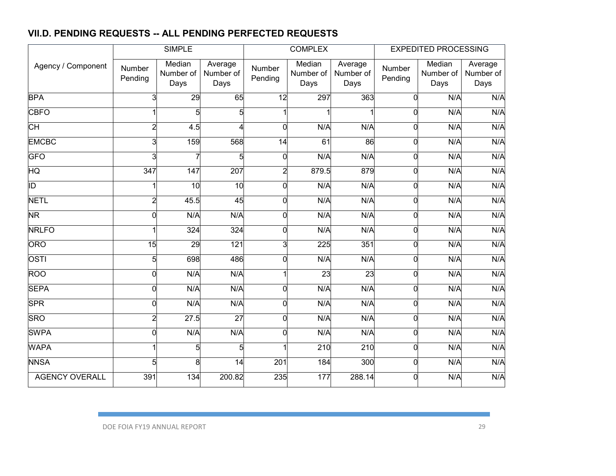### **VII.D. PENDING REQUESTS -- ALL PENDING PERFECTED REQUESTS**

|                       |                   | <b>SIMPLE</b>               |                              |                   | <b>COMPLEX</b>              |                              |                   | <b>EXPEDITED PROCESSING</b> |                              |
|-----------------------|-------------------|-----------------------------|------------------------------|-------------------|-----------------------------|------------------------------|-------------------|-----------------------------|------------------------------|
| Agency / Component    | Number<br>Pending | Median<br>Number of<br>Days | Average<br>Number of<br>Days | Number<br>Pending | Median<br>Number of<br>Days | Average<br>Number of<br>Days | Number<br>Pending | Median<br>Number of<br>Days | Average<br>Number of<br>Days |
| <b>BPA</b>            |                   | 29                          | 65                           | 12                | 297                         | 363                          | 0                 | N/A                         | N/A                          |
| <b>CBFO</b>           |                   | 5                           | 5                            |                   |                             |                              | 0                 | N/A                         | N/A                          |
| СH                    |                   | 4.5                         |                              | $\overline{0}$    | N/A                         | N/A                          | 0                 | N/A                         | N/A                          |
| <b>EMCBC</b>          |                   | 159                         | 568                          | $\overline{14}$   | 61                          | 86                           | 0                 | N/A                         | N/A                          |
| <b>GFO</b>            |                   |                             | 5                            | $\overline{0}$    | N/A                         | N/A                          | 0                 | N/A                         | N/A                          |
| HQ                    | $\overline{347}$  | 147                         | 207                          | $\overline{2}$    | 879.5                       | 879                          | 0                 | N/A                         | N/A                          |
| ĪD                    |                   | $\overline{10}$             | $\overline{10}$              | $\overline{0}$    | N/A                         | N/A                          | 0                 | N/A                         | N/A                          |
| <b>NETL</b>           |                   | 45.5                        | 45                           | $\overline{0}$    | N/A                         | N/A                          | 0                 | N/A                         | N/A                          |
| <b>NR</b>             |                   | N/A                         | N/A                          | $\overline{0}$    | N/A                         | N/A                          | 0                 | N/A                         | N/A                          |
| <b>NRLFO</b>          |                   | 324                         | 324                          | $\overline{0}$    | N/A                         | N/A                          | 0                 | N/A                         | N/A                          |
| <b>ORO</b>            | $\overline{15}$   | 29                          | 121                          | 3                 | 225                         | 351                          | 0                 | N/A                         | N/A                          |
| OSTI                  |                   | 698                         | 486                          | $\overline{0}$    | N/A                         | N/A                          | 0                 | N/A                         | N/A                          |
| <b>ROO</b>            | ŋ                 | N/A                         | N/A                          |                   | 23                          | 23                           | 0                 | N/A                         | N/A                          |
| <b>SEPA</b>           | r                 | N/A                         | N/A                          | $\overline{0}$    | N/A                         | N/A                          | 0                 | N/A                         | N/A                          |
| <b>SPR</b>            | ŋ                 | N/A                         | N/A                          | $\overline{0}$    | N/A                         | N/A                          | 0                 | N/A                         | N/A                          |
| <b>SRO</b>            | 2                 | 27.5                        | $\overline{27}$              | $\overline{0}$    | N/A                         | N/A                          | 0                 | N/A                         | N/A                          |
| <b>SWPA</b>           |                   | N/A                         | N/A                          | $\overline{0}$    | N/A                         | N/A                          | 0                 | N/A                         | N/A                          |
| <b>WAPA</b>           |                   | 5                           | 5                            |                   | 210                         | 210                          | 0                 | N/A                         | N/A                          |
| <b>NNSA</b>           |                   | 8                           | $\overline{14}$              | $\overline{201}$  | 184                         | 300                          | 0                 | N/A                         | N/A                          |
| <b>AGENCY OVERALL</b> | 391               | 134                         | 200.82                       | 235               | 177                         | 288.14                       | 0                 | N/A                         | N/A                          |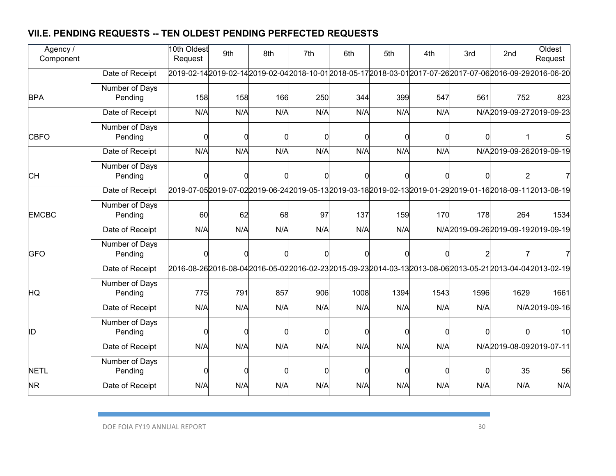## **VII.E. PENDING REQUESTS -- TEN OLDEST PENDING PERFECTED REQUESTS**

| Agency /<br>Component  |                           | 10th Oldest<br>Request | 9th | 8th | 7th | 6th  | 5th  | 4th  | 3rd  | 2 <sub>nd</sub> | Oldest<br>Request                                                                                    |
|------------------------|---------------------------|------------------------|-----|-----|-----|------|------|------|------|-----------------|------------------------------------------------------------------------------------------------------|
|                        | Date of Receipt           |                        |     |     |     |      |      |      |      |                 | 2019-02-142019-02-142019-02-042018-10-012018-05-172018-03-012017-07-262017-07-062016-09-292016-06-20 |
| <b>BPA</b>             | Number of Days<br>Pending | 158                    | 158 | 166 | 250 | 344  | 399  | 547  | 561  | 752             | 823                                                                                                  |
|                        | Date of Receipt           | N/A                    | N/A | N/A | N/A | N/A  | N/A  | N/A  |      |                 | N/A2019-09-272019-09-23                                                                              |
| <b>CBFO</b>            | Number of Days<br>Pending | ŋ                      |     |     |     |      | ſ    |      |      |                 |                                                                                                      |
|                        | Date of Receipt           | N/A                    | N/A | N/A | N/A | N/A  | N/A  | N/A  |      |                 | N/A2019-09-262019-09-19                                                                              |
| CН                     | Number of Days<br>Pending |                        |     |     |     |      |      |      |      |                 |                                                                                                      |
|                        | Date of Receipt           |                        |     |     |     |      |      |      |      |                 | 2019-07-052019-07-022019-06-242019-05-132019-03-182019-02-132019-01-292019-01-162018-09-112013-08-19 |
| <b>EMCBC</b>           | Number of Days<br>Pending | 60                     | 62  | 68  | 97  | 137  | 159  | 170  | 178  | 264             | 1534                                                                                                 |
|                        | Date of Receipt           | N/A                    | N/A | N/A | N/A | N/A  | N/A  |      |      |                 | N/A2019-09-262019-09-192019-09-19                                                                    |
| <b>GFO</b>             | Number of Days<br>Pending |                        |     |     |     |      |      |      |      |                 |                                                                                                      |
|                        | Date of Receipt           |                        |     |     |     |      |      |      |      |                 | 2016-08-262016-08-042016-05-022016-02-232015-09-232014-03-132013-08-062013-05-212013-04-042013-02-19 |
| HQ                     | Number of Days<br>Pending | 775                    | 791 | 857 | 906 | 1008 | 1394 | 1543 | 1596 | 1629            | 1661                                                                                                 |
|                        | Date of Receipt           | N/A                    | N/A | N/A | N/A | N/A  | N/A  | N/A  | N/A  |                 | N/A2019-09-16                                                                                        |
| ID                     | Number of Days<br>Pending | ŋ                      |     |     |     |      |      |      |      |                 | 10                                                                                                   |
|                        | Date of Receipt           | N/A                    | N/A | N/A | N/A | N/A  | N/A  | N/A  |      |                 | N/A2019-08-092019-07-11                                                                              |
| <b>NETL</b>            | Number of Days<br>Pending | ŋ                      |     |     |     |      |      |      |      | 35              | 56                                                                                                   |
| $\overline{\text{NR}}$ | Date of Receipt           | N/A                    | N/A | N/A | N/A | N/A  | N/A  | N/A  | N/A  | N/A             | N/A                                                                                                  |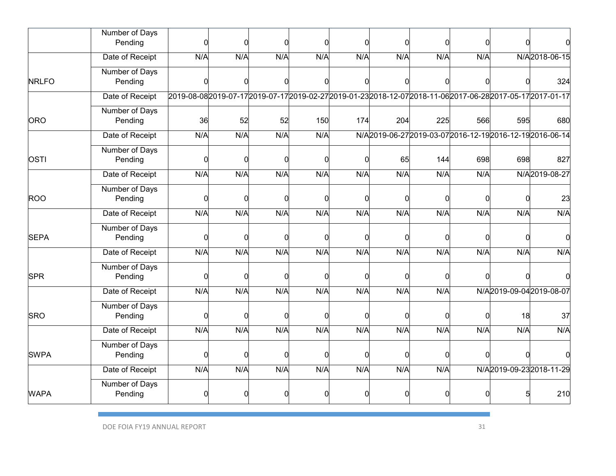|              | Number of Days<br>Pending | $\Omega$                                                                                                     | n   |     |     |     | C   | n   | ∩        |     |                                                           |
|--------------|---------------------------|--------------------------------------------------------------------------------------------------------------|-----|-----|-----|-----|-----|-----|----------|-----|-----------------------------------------------------------|
|              | Date of Receipt           | N/A                                                                                                          | N/A | N/A | N/A | N/A | N/A | N/A | N/A      |     | N/A2018-06-15                                             |
| <b>NRLFO</b> | Number of Days<br>Pending | O                                                                                                            |     |     |     |     |     |     |          |     | 324                                                       |
|              | Date of Receipt           | 2019-08-082019-07-17 2019-07-17 2019-02-27 2019-01-23 2018-12-07 2018-11-06 2017-06-28 2017-05-17 2017-01-17 |     |     |     |     |     |     |          |     |                                                           |
| <b>ORO</b>   | Number of Days<br>Pending | 36                                                                                                           | 52  | 52  | 150 | 174 | 204 | 225 | 566      | 595 | 680                                                       |
|              | Date of Receipt           | N/A                                                                                                          | N/A | N/A | N/A |     |     |     |          |     | N/A2019-06-27 2019-03-07 2016-12-19 2016-12-19 2016-06-14 |
| OSTI         | Number of Days<br>Pending | 0                                                                                                            | n   |     |     |     | 65  | 144 | 698      | 698 | 827                                                       |
|              | Date of Receipt           | N/A                                                                                                          | N/A | N/A | N/A | N/A | N/A | N/A | N/A      |     | N/A2019-08-27                                             |
| <b>ROO</b>   | Number of Days<br>Pending | 0                                                                                                            | O   |     |     |     | 0   | ſ   | $\Omega$ | C   | 23                                                        |
|              | Date of Receipt           | N/A                                                                                                          | N/A | N/A | N/A | N/A | N/A | N/A | N/A      | N/A | N/A                                                       |
| <b>SEPA</b>  | Number of Days<br>Pending | $\Omega$                                                                                                     |     |     |     |     | C   |     | C        |     |                                                           |
|              | Date of Receipt           | N/A                                                                                                          | N/A | N/A | N/A | N/A | N/A | N/A | N/A      | N/A | N/A                                                       |
| <b>SPR</b>   | Number of Days<br>Pending | $\Omega$                                                                                                     |     |     |     |     | C   |     |          |     |                                                           |
|              | Date of Receipt           | N/A                                                                                                          | N/A | N/A | N/A | N/A | N/A | N/A |          |     | N/A2019-09-042019-08-07                                   |
| <b>SRO</b>   | Number of Days<br>Pending | 0                                                                                                            | O   |     |     |     | C   |     | ∩        | 18  | 37                                                        |
|              | Date of Receipt           | N/A                                                                                                          | N/A | N/A | N/A | N/A | N/A | N/A | N/A      | N/A | N/A                                                       |
| <b>SWPA</b>  | Number of Days<br>Pending | $\Omega$                                                                                                     |     |     |     |     | C   |     |          |     |                                                           |
|              | Date of Receipt           | N/A                                                                                                          | N/A | N/A | N/A | N/A | N/A | N/A |          |     | N/A2019-09-232018-11-29                                   |
| <b>WAPA</b>  | Number of Days<br>Pending | ŋ                                                                                                            |     |     |     |     |     |     |          |     | 210                                                       |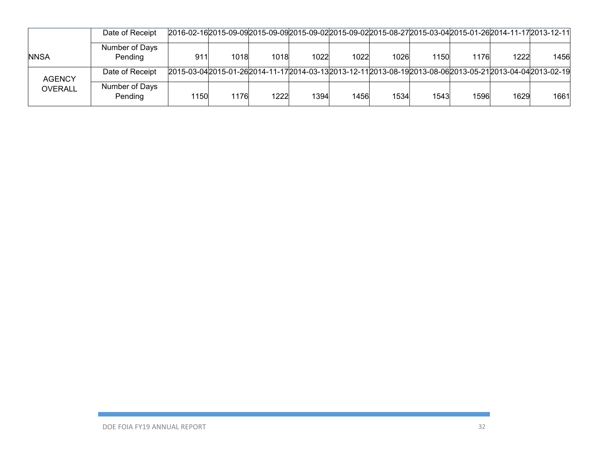|                | Date of Receipt           | 211-172013-12-11, 2010-09-2015-09-2015-09-202015-09-202015-08-272015-03-042015-01-262014-11-172013-12         |      |      |      |      |      |      |      |      |      |
|----------------|---------------------------|---------------------------------------------------------------------------------------------------------------|------|------|------|------|------|------|------|------|------|
| <b>NNSA</b>    | Number of Days<br>Pending | 911                                                                                                           | 1018 | 1018 | 1022 | 1022 | 1026 | 1150 | 1176 | 1222 | 1456 |
| <b>AGENCY</b>  | Date of Receipt           | 2015-03-04 2015-01-26 2014-11-17 2014-03-13 2013-12-11 2013-08-19 2013-08-06 2013-05-21 2013-04-04 2013-02-19 |      |      |      |      |      |      |      |      |      |
| <b>OVERALL</b> | Number of Days<br>Pending | 1150                                                                                                          | 1176 | 1222 | 1394 | 1456 | 1534 | 1543 | 1596 | 1629 | 1661 |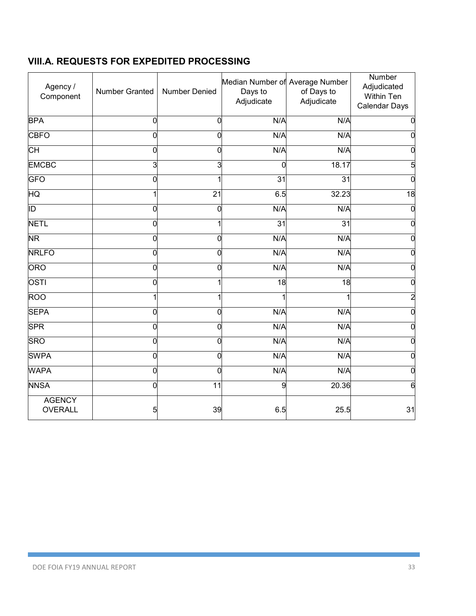## **VIII.A. REQUESTS FOR EXPEDITED PROCESSING**

| Agency /<br>Component           | Number Granted | Number Denied   | Median Number of Average Number<br>Days to<br>Adjudicate | of Days to<br>Adjudicate | Number<br>Adjudicated<br>Within Ten<br><b>Calendar Days</b> |
|---------------------------------|----------------|-----------------|----------------------------------------------------------|--------------------------|-------------------------------------------------------------|
| <b>BPA</b>                      | $\Omega$       | 0               | N/A                                                      | N/A                      | $\overline{0}$                                              |
| <b>CBFO</b>                     | 0              | 0               | N/A                                                      | N/A                      | $\mathbf 0$                                                 |
| CН                              | 0              | 0               | N/A                                                      | N/A                      | $\mathbf 0$                                                 |
| <b>EMCBC</b>                    | 3              | 3               | 0                                                        | 18.17                    | $\overline{5}$                                              |
| <b>GFO</b>                      | 0              |                 | $\overline{31}$                                          | $\overline{31}$          | $\overline{0}$                                              |
| HQ                              |                | $\overline{21}$ | 6.5                                                      | 32.23                    | 18                                                          |
| ID                              | $\mathbf 0$    | 0               | N/A                                                      | N/A                      | $\overline{0}$                                              |
| <b>NETL</b>                     | $\overline{0}$ |                 | $\overline{31}$                                          | 31                       | $\overline{0}$                                              |
| <b>NR</b>                       | 0              | 0               | N/A                                                      | N/A                      | $\overline{0}$                                              |
| <b>NRLFO</b>                    | 0              | 0               | N/A                                                      | N/A                      | $\mathbf 0$                                                 |
| <b>ORO</b>                      | 0              | 0               | N/A                                                      | N/A                      | $\mathbf 0$                                                 |
| OSTI                            | $\overline{0}$ |                 | 18                                                       | $\frac{1}{8}$            | $\overline{0}$                                              |
| <b>ROO</b>                      |                |                 |                                                          |                          | $\overline{2}$                                              |
| <b>SEPA</b>                     | $\overline{0}$ | 0               | N/A                                                      | N/A                      | $\overline{0}$                                              |
| <b>SPR</b>                      | 0              | 0               | N/A                                                      | N/A                      | $\overline{0}$                                              |
| <b>SRO</b>                      | 0              | 0               | N/A                                                      | N/A                      | $\overline{0}$                                              |
| <b>SWPA</b>                     | 0              | 0               | N/A                                                      | N/A                      | $\overline{0}$                                              |
| <b>WAPA</b>                     | $\overline{0}$ | 0               | N/A                                                      | N/A                      | $\mathbf 0$                                                 |
| <b>NNSA</b>                     | 0              | $\overline{11}$ | 9                                                        | 20.36                    | $\overline{6}$                                              |
| <b>AGENCY</b><br><b>OVERALL</b> | 5              | 39              | 6.5                                                      | 25.5                     | 31                                                          |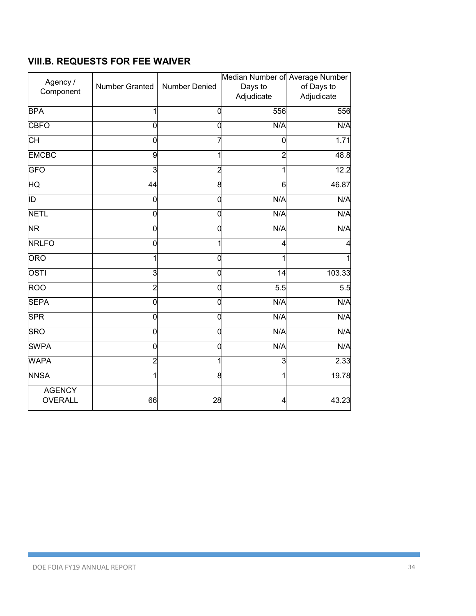### **VIII.B. REQUESTS FOR FEE WAIVER**

| Agency /<br>Component           | Number Granted | Number Denied  | Median Number of Average Number<br>Days to<br>Adjudicate | of Days to<br>Adjudicate |
|---------------------------------|----------------|----------------|----------------------------------------------------------|--------------------------|
| <b>BPA</b>                      | 1              | $\mathbf 0$    | 556                                                      | 556                      |
| <b>CBFO</b>                     | 0              | $\overline{0}$ | N/A                                                      | N/A                      |
| СH                              | 0              | 7              | 0                                                        | 1.71                     |
| <b>EMCBC</b>                    | 9              | 1              | $\overline{2}$                                           | 48.8                     |
| GFO                             | دن             | $\overline{2}$ | 1                                                        | 12.2                     |
| HQ                              | 44             | 8              | 6                                                        | 46.87                    |
| ID                              | 0              | $\mathbf 0$    | N/A                                                      | N/A                      |
| <b>NETL</b>                     | 0              | O              | N/A                                                      | N/A                      |
| <b>NR</b>                       | 0              | 0              | N/A                                                      | N/A                      |
| <b>NRLFO</b>                    | 0              | 1              | 4                                                        |                          |
| <b>ORO</b>                      | 1              | 0              |                                                          |                          |
| OSTI                            | دن             | O              | $\overline{14}$                                          | 103.33                   |
| ROO                             | $\overline{c}$ | $\mathbf 0$    | $\overline{5.5}$                                         | 5.5                      |
| <b>SEPA</b>                     | 0              | $\overline{0}$ | N/A                                                      | N/A                      |
| <b>SPR</b>                      | 0              | 0              | N/A                                                      | N/A                      |
| <b>SRO</b>                      | 0              | $\overline{0}$ | N/A                                                      | N/A                      |
| <b>SWPA</b>                     | 0              | 0              | N/A                                                      | N/A                      |
| <b>WAPA</b>                     | $\overline{c}$ | 1              | 3                                                        | 2.33                     |
| <b>NNSA</b>                     | 1              | 8              |                                                          | 19.78                    |
| <b>AGENCY</b><br><b>OVERALL</b> | 66             | 28             |                                                          | 43.23                    |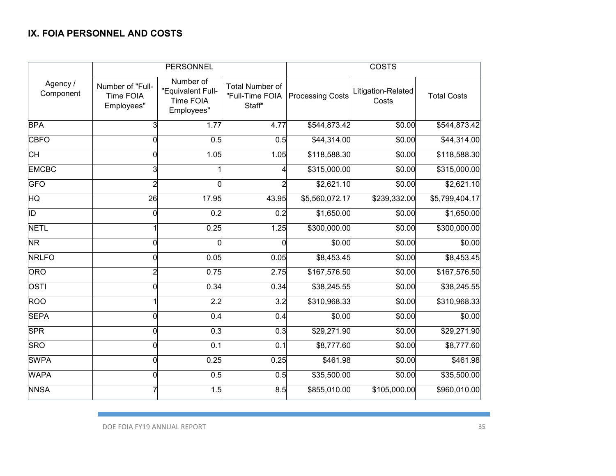#### **IX. FOIA PERSONNEL AND COSTS**

|                        |                                             | <b>PERSONNEL</b>                                                 |                                                     | <b>COSTS</b>            |                             |                    |  |
|------------------------|---------------------------------------------|------------------------------------------------------------------|-----------------------------------------------------|-------------------------|-----------------------------|--------------------|--|
| Agency /<br>Component  | Number of "Full-<br>Time FOIA<br>Employees" | Number of<br>"Equivalent Full-<br><b>Time FOIA</b><br>Employees" | <b>Total Number of</b><br>"Full-Time FOIA<br>Staff" | <b>Processing Costs</b> | Litigation-Related<br>Costs | <b>Total Costs</b> |  |
| <b>BPA</b>             | 3                                           | 1.77                                                             | 4.77                                                | \$544,873.42            | \$0.00                      | \$544,873.42       |  |
| <b>CBFO</b>            |                                             | 0.5                                                              | 0.5                                                 | \$44,314.00             | \$0.00                      | \$44,314.00        |  |
| CН                     |                                             | 1.05                                                             | 1.05                                                | \$118,588.30            | \$0.00                      | \$118,588.30       |  |
| <b>EMCBC</b>           |                                             |                                                                  | 4                                                   | \$315,000.00            | \$0.00                      | \$315,000.00       |  |
| <b>GFO</b>             |                                             | 0                                                                |                                                     | \$2,621.10              | \$0.00                      | \$2,621.10         |  |
| $\overline{\text{HQ}}$ | $\overline{26}$                             | 17.95                                                            | 43.95                                               | \$5,560,072.17          | \$239,332.00                | \$5,799,404.17     |  |
| ĪD                     | 0                                           | 0.2                                                              | 0.2                                                 | \$1,650.00              | \$0.00                      | \$1,650.00         |  |
| <b>NETL</b>            |                                             | 0.25                                                             | 1.25                                                | \$300,000.00            | \$0.00                      | \$300,000.00       |  |
| <b>NR</b>              |                                             | 0                                                                | $\overline{0}$                                      | \$0.00                  | \$0.00                      | \$0.00             |  |
| <b>NRLFO</b>           |                                             | 0.05                                                             | 0.05                                                | \$8,453.45              | \$0.00                      | \$8,453.45         |  |
| <b>ORO</b>             |                                             | 0.75                                                             | 2.75                                                | \$167,576.50            | \$0.00                      | \$167,576.50       |  |
| <b>OSTI</b>            | O                                           | 0.34                                                             | 0.34                                                | \$38,245.55             | \$0.00                      | \$38,245.55        |  |
| <b>ROO</b>             |                                             | $\overline{2.2}$                                                 | 3.2                                                 | \$310,968.33            | \$0.00                      | \$310,968.33       |  |
| <b>SEPA</b>            | O                                           | 0.4                                                              | 0.4                                                 | \$0.00                  | \$0.00                      | \$0.00             |  |
| <b>SPR</b>             | በ                                           | 0.3                                                              | 0.3                                                 | \$29,271.90             | \$0.00                      | \$29,271.90        |  |
| <b>SRO</b>             |                                             | 0.1                                                              | 0.1                                                 | \$8,777.60              | \$0.00                      | \$8,777.60         |  |
| <b>SWPA</b>            | ∩                                           | 0.25                                                             | 0.25                                                | \$461.98                | \$0.00                      | \$461.98           |  |
| <b>WAPA</b>            | n                                           | 0.5                                                              | 0.5                                                 | \$35,500.00             | \$0.00                      | \$35,500.00        |  |
| <b>NNSA</b>            |                                             | 1.5                                                              | 8.5                                                 | \$855,010.00            | \$105,000.00                | \$960,010.00       |  |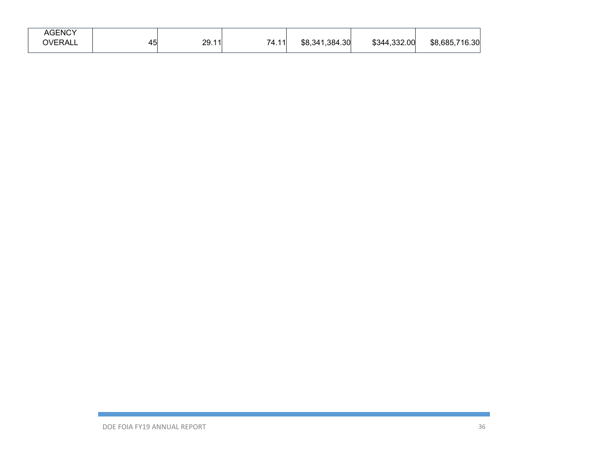| <b>AGENCY</b>  |                     |                                                    |       |                |              |                |
|----------------|---------------------|----------------------------------------------------|-------|----------------|--------------|----------------|
| <b>OVERALL</b> | . .<br>$\sim$<br>᠇◡ | 29.11<br>$\sim$ $\sim$ $\sim$ $\sim$ $\sim$ $\sim$ | 74.11 | \$8,341,384.30 | \$344,332.00 | \$8,685,716.30 |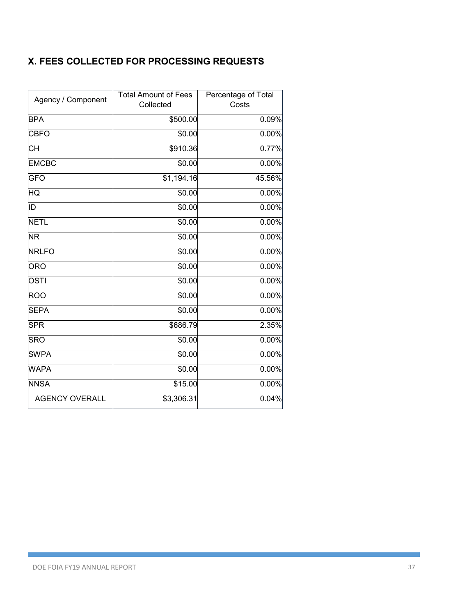## **X. FEES COLLECTED FOR PROCESSING REQUESTS**

| Agency / Component       | <b>Total Amount of Fees</b><br>Collected | Percentage of Total<br>Costs |  |  |
|--------------------------|------------------------------------------|------------------------------|--|--|
|                          |                                          |                              |  |  |
| <b>BPA</b>               | \$500.00                                 | 0.09%                        |  |  |
| <b>CBFO</b>              | \$0.00                                   | 0.00%                        |  |  |
| $\overline{\mathsf{CH}}$ | \$910.36                                 | 0.77%                        |  |  |
| <b>EMCBC</b>             | \$0.00                                   | 0.00%                        |  |  |
| <b>GFO</b>               | \$1,194.16                               | 45.56%                       |  |  |
| HQ                       | \$0.00                                   | 0.00%                        |  |  |
| ID                       | \$0.00                                   | 0.00%                        |  |  |
| <b>NETL</b>              | \$0.00                                   | 0.00%                        |  |  |
| <b>NR</b>                | \$0.00                                   | 0.00%                        |  |  |
| <b>NRLFO</b>             | \$0.00                                   | 0.00%                        |  |  |
| <b>ORO</b>               | \$0.00                                   | 0.00%                        |  |  |
| OSTI                     | \$0.00                                   | 0.00%                        |  |  |
| <b>ROO</b>               | \$0.00                                   | 0.00%                        |  |  |
| <b>SEPA</b>              | \$0.00                                   | 0.00%                        |  |  |
| <b>SPR</b>               | \$686.79                                 | 2.35%                        |  |  |
| <b>SRO</b>               | \$0.00                                   | $0.00\%$                     |  |  |
| <b>SWPA</b>              | \$0.00                                   | 0.00%                        |  |  |
| <b>WAPA</b>              | \$0.00                                   | 0.00%                        |  |  |
| <b>NNSA</b>              | \$15.00                                  | 0.00%                        |  |  |
| <b>AGENCY OVERALL</b>    | \$3,306.31                               | 0.04%                        |  |  |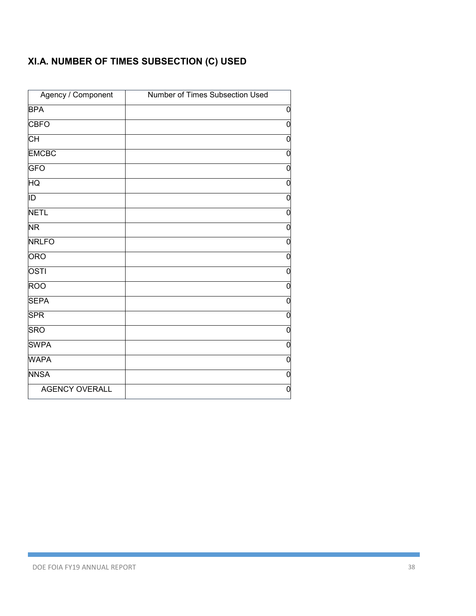# **XI.A. NUMBER OF TIMES SUBSECTION (C) USED**

| Agency / Component    | Number of Times Subsection Used |
|-----------------------|---------------------------------|
| <b>BPA</b>            | 0                               |
| <b>CBFO</b>           | $\mathbf 0$                     |
| СH                    | $\mathbf 0$                     |
| <b>EMCBC</b>          | $\mathbf 0$                     |
| <b>GFO</b>            | 0                               |
| HQ                    | $\mathbf 0$                     |
| ID                    | $\mathbf 0$                     |
| <b>NETL</b>           | $\overline{0}$                  |
| <b>NR</b>             | $\overline{0}$                  |
| <b>NRLFO</b>          | $\overline{0}$                  |
| <b>ORO</b>            | $\overline{0}$                  |
| <b>OSTI</b>           | $\mathbf 0$                     |
| <b>ROO</b>            | $\mathbf 0$                     |
| <b>SEPA</b>           | $\mathbf 0$                     |
| <b>SPR</b>            | 0                               |
| <b>SRO</b>            | $\overline{0}$                  |
| <b>SWPA</b>           | $\overline{0}$                  |
| <b>WAPA</b>           | $\mathbf 0$                     |
| <b>NNSA</b>           | $\mathbf 0$                     |
| <b>AGENCY OVERALL</b> | $\mathbf 0$                     |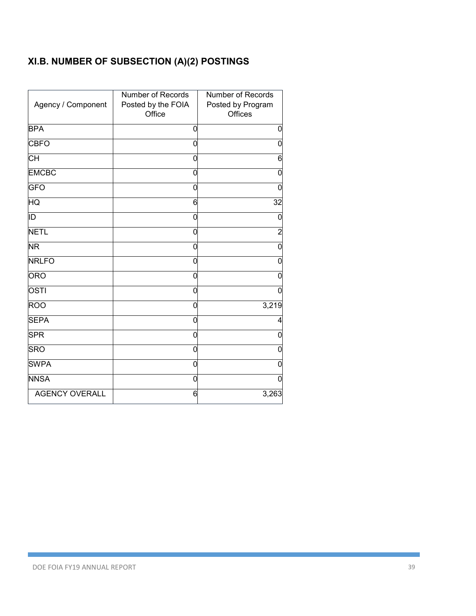# **XI.B. NUMBER OF SUBSECTION (A)(2) POSTINGS**

| Agency / Component    | Number of Records<br>Posted by the FOIA<br>Office | Number of Records<br>Posted by Program<br>Offices |
|-----------------------|---------------------------------------------------|---------------------------------------------------|
| <b>BPA</b>            | 0                                                 | 0                                                 |
| <b>CBFO</b>           | 0                                                 | $\mathbf 0$                                       |
| СH                    | 0                                                 | 6                                                 |
| <b>EMCBC</b>          | 0                                                 | $\mathbf 0$                                       |
| <b>GFO</b>            | 0                                                 | $\mathbf 0$                                       |
| ΗQ                    | 6                                                 | 32                                                |
| ĪD                    | 0                                                 | 0                                                 |
| <b>NETL</b>           | 0                                                 | $\overline{\mathbf{c}}$                           |
| <b>NR</b>             | 0                                                 | $\mathbf 0$                                       |
| <b>NRLFO</b>          | 0                                                 | 0                                                 |
| <b>ORO</b>            | 0                                                 | 0                                                 |
| OSTI                  | 0                                                 | 0                                                 |
| <b>ROO</b>            | 0                                                 | 3,219                                             |
| <b>SEPA</b>           | 0                                                 | 4                                                 |
| <b>SPR</b>            | 0                                                 | 0                                                 |
| <b>SRO</b>            | 0                                                 | 0                                                 |
| <b>SWPA</b>           | 0                                                 | 0                                                 |
| <b>NNSA</b>           | O                                                 | 0                                                 |
| <b>AGENCY OVERALL</b> | 6                                                 | 3,263                                             |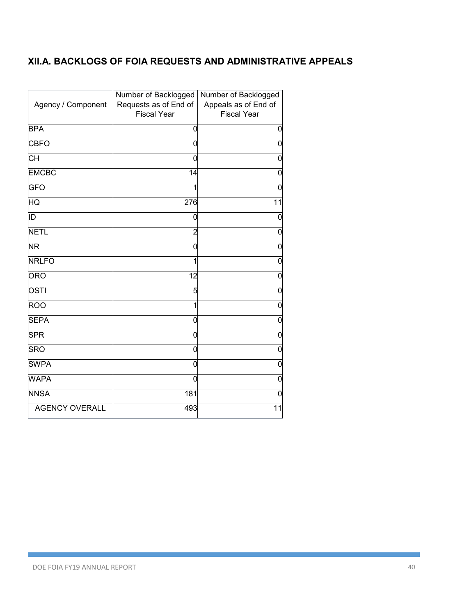### **XII.A. BACKLOGS OF FOIA REQUESTS AND ADMINISTRATIVE APPEALS**

| Agency / Component       | Number of Backlogged<br>Requests as of End of<br><b>Fiscal Year</b> | Number of Backlogged<br>Appeals as of End of<br><b>Fiscal Year</b> |
|--------------------------|---------------------------------------------------------------------|--------------------------------------------------------------------|
| <b>BPA</b>               | 0                                                                   | 0                                                                  |
| <b>CBFO</b>              | 0                                                                   | 0                                                                  |
| CН                       | 0                                                                   | 0                                                                  |
| <b>EMCBC</b>             | 14                                                                  | 0                                                                  |
| <b>GFO</b>               |                                                                     | 0                                                                  |
| ΗQ                       | 276                                                                 | 11                                                                 |
| ID                       | 0                                                                   | 0                                                                  |
| <b>NETL</b>              | $\overline{2}$                                                      | $\mathbf 0$                                                        |
| $\overline{\mathsf{NR}}$ | 0                                                                   | 0                                                                  |
| <b>NRLFO</b>             | 1                                                                   | $\mathbf 0$                                                        |
| <b>ORO</b>               | 12                                                                  | 0                                                                  |
| OSTI                     | 5                                                                   | 0                                                                  |
| <b>ROO</b>               | 1                                                                   | $\mathbf 0$                                                        |
| <b>SEPA</b>              | 0                                                                   | 0                                                                  |
| <b>SPR</b>               | 0                                                                   | 0                                                                  |
| <b>SRO</b>               | 0                                                                   | $\overline{0}$                                                     |
| <b>SWPA</b>              | 0                                                                   | 0                                                                  |
| <b>WAPA</b>              | 0                                                                   | 0                                                                  |
| <b>NNSA</b>              | 181                                                                 | $\Omega$                                                           |
| <b>AGENCY OVERALL</b>    | 493                                                                 | 11                                                                 |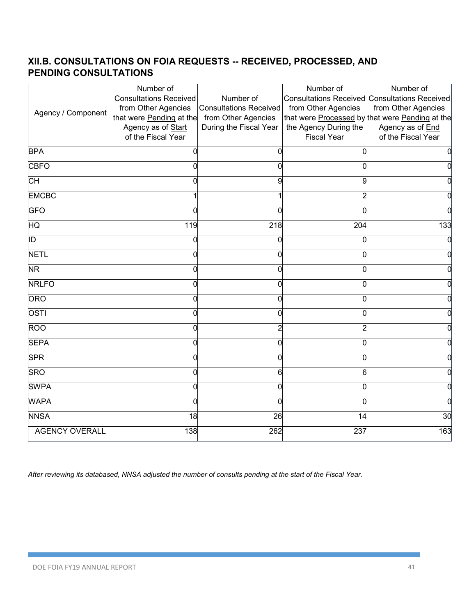## **XII.B. CONSULTATIONS ON FOIA REQUESTS -- RECEIVED, PROCESSED, AND PENDING CONSULTATIONS**

|                        | Number of                     |                               | Number of             | Number of                                            |
|------------------------|-------------------------------|-------------------------------|-----------------------|------------------------------------------------------|
|                        | <b>Consultations Received</b> | Number of                     |                       | <b>Consultations Received Consultations Received</b> |
| Agency / Component     | from Other Agencies           | <b>Consultations Received</b> | from Other Agencies   | from Other Agencies                                  |
|                        | that were Pending at the      | from Other Agencies           |                       | that were Processed by that were Pending at the      |
|                        | Agency as of Start            | During the Fiscal Year        | the Agency During the | Agency as of End                                     |
|                        | of the Fiscal Year            |                               | <b>Fiscal Year</b>    | of the Fiscal Year                                   |
| <b>BPA</b>             | Ω                             | 0                             | Ω                     |                                                      |
| <b>CBFO</b>            | U                             | 0                             | 0                     |                                                      |
| CH                     |                               | 9                             | 9                     |                                                      |
| <b>EMCBC</b>           |                               |                               |                       |                                                      |
| <b>GFO</b>             |                               | 0                             |                       |                                                      |
| $\overline{\text{HQ}}$ | 119                           | 218                           | 204                   | 133                                                  |
| ID                     | ი                             | 0                             | 0                     |                                                      |
| <b>NETL</b>            | Ω                             | 0                             | 0                     |                                                      |
| <b>NR</b>              |                               | $\Omega$                      | ŋ                     |                                                      |
| <b>NRLFO</b>           |                               | 0                             | 0                     |                                                      |
| <b>ORO</b>             |                               | 0                             |                       |                                                      |
| <b>OSTI</b>            |                               | 0                             | ſ                     |                                                      |
| <b>ROO</b>             |                               | 2                             |                       |                                                      |
| <b>SEPA</b>            |                               | 0                             | Ω                     |                                                      |
| <b>SPR</b>             |                               | 0                             | Ω                     |                                                      |
| <b>SRO</b>             | U                             | 6                             | 6                     |                                                      |
| <b>SWPA</b>            |                               | 0                             | 0                     |                                                      |
| <b>WAPA</b>            | U                             | 0                             | U                     |                                                      |
| <b>NNSA</b>            | $\frac{1}{8}$                 | $\overline{26}$               | 14                    | 30                                                   |
| <b>AGENCY OVERALL</b>  | 138                           | 262                           | 237                   | 163                                                  |

*After reviewing its databased, NNSA adjusted the number of consults pending at the start of the Fiscal Year.*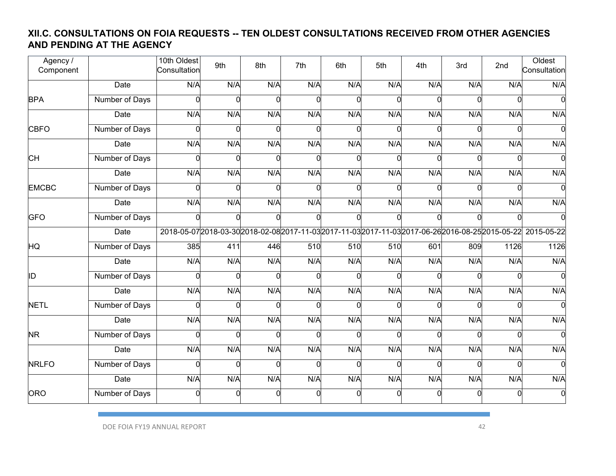#### **XII.C. CONSULTATIONS ON FOIA REQUESTS -- TEN OLDEST CONSULTATIONS RECEIVED FROM OTHER AGENCIES AND PENDING AT THE AGENCY**

| Agency /<br>Component |                | 10th Oldest<br>Consultation | 9th            | 8th      | 7th          | 6th | 5th | 4th | 3rd      | 2nd  | Oldest<br>Consultation                                                                                        |
|-----------------------|----------------|-----------------------------|----------------|----------|--------------|-----|-----|-----|----------|------|---------------------------------------------------------------------------------------------------------------|
|                       | <b>Date</b>    | N/A                         | N/A            | N/A      | N/A          | N/A | N/A | N/A | N/A      | N/A  | N/A                                                                                                           |
| <b>BPA</b>            | Number of Days |                             | $\Omega$       |          | n            |     |     |     | U        |      |                                                                                                               |
|                       | Date           | N/A                         | N/A            | N/A      | N/A          | N/A | N/A | N/A | N/A      | N/A  | N/A                                                                                                           |
| <b>CBFO</b>           | Number of Days |                             | $\Omega$       | ∩        | n            |     |     |     | n        |      |                                                                                                               |
|                       | Date           | N/A                         | N/A            | N/A      | N/A          | N/A | N/A | N/A | N/A      | N/A  | N/A                                                                                                           |
| <b>CH</b>             | Number of Days | C                           | $\Omega$       | $\Omega$ | <sup>n</sup> |     |     |     | $\Omega$ |      |                                                                                                               |
|                       | Date           | N/A                         | N/A            | N/A      | N/A          | N/A | N/A | N/A | N/A      | N/A  | N/A                                                                                                           |
| <b>EMCBC</b>          | Number of Days |                             | $\Omega$       | $\Omega$ | O            |     |     | n   | O        |      |                                                                                                               |
|                       | Date           | N/A                         | N/A            | N/A      | N/A          | N/A | N/A | N/A | N/A      | N/A  | N/A                                                                                                           |
| <b>GFO</b>            | Number of Days |                             | $\Omega$       | $\Omega$ | n            |     |     |     | O        |      |                                                                                                               |
|                       | <b>Date</b>    |                             |                |          |              |     |     |     |          |      | 2018-05-07 2018-03-30 2018-02-08 2017-11-03 2017-11-03 2017-11-03 2017-06-26 2016-08-25 2015-05-22 2015-05-22 |
| HQ                    | Number of Days | 385                         | 411            | 446      | 510          | 510 | 510 | 601 | 809      | 1126 | 1126                                                                                                          |
|                       | Date           | N/A                         | N/A            | N/A      | N/A          | N/A | N/A | N/A | N/A      | N/A  | N/A                                                                                                           |
| ID                    | Number of Days |                             | $\Omega$       | $\Omega$ | $\Omega$     |     |     |     | n        |      |                                                                                                               |
|                       | Date           | N/A                         | N/A            | N/A      | N/A          | N/A | N/A | N/A | N/A      | N/A  | N/A                                                                                                           |
| <b>NETL</b>           | Number of Days |                             | $\Omega$       |          | C            |     |     |     | n        |      |                                                                                                               |
|                       | Date           | N/A                         | N/A            | N/A      | N/A          | N/A | N/A | N/A | N/A      | N/A  | N/A                                                                                                           |
| <b>NR</b>             | Number of Days | $\Omega$                    | $\overline{0}$ | $\Omega$ | $\Omega$     |     |     | O   | U        |      |                                                                                                               |
|                       | Date           | N/A                         | N/A            | N/A      | N/A          | N/A | N/A | N/A | N/A      | N/A  | N/A                                                                                                           |
| <b>NRLFO</b>          | Number of Days |                             | $\Omega$       | $\Omega$ | $\Omega$     |     |     |     | n        |      |                                                                                                               |
|                       | Date           | N/A                         | N/A            | N/A      | N/A          | N/A | N/A | N/A | N/A      | N/A  | N/A                                                                                                           |
| ORO                   | Number of Days | 0                           | $\Omega$       | $\Omega$ | $\Omega$     |     | U   |     | $\Omega$ | 0    |                                                                                                               |
|                       |                |                             |                |          |              |     |     |     |          |      |                                                                                                               |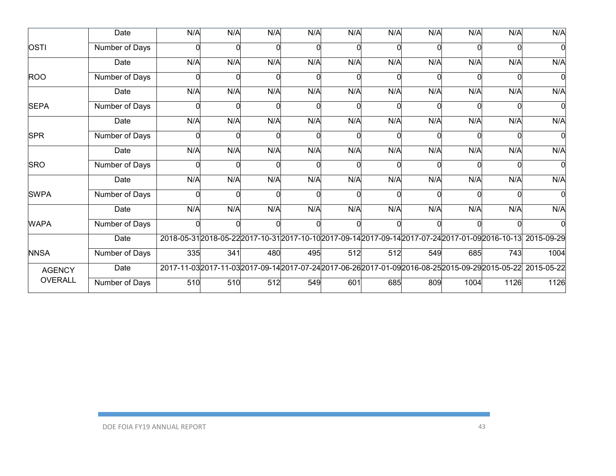|                | Date           | N/A | N/A | N/A | N/A | N/A | N/A | N/A | N/A  | N/A  | N/A                                                                                                           |
|----------------|----------------|-----|-----|-----|-----|-----|-----|-----|------|------|---------------------------------------------------------------------------------------------------------------|
| <b>OSTI</b>    | Number of Days |     |     |     |     |     |     |     |      |      |                                                                                                               |
|                | Date           | N/A | N/A | N/A | N/A | N/A | N/A | N/A | N/A  | N/A  | N/A                                                                                                           |
| <b>ROO</b>     | Number of Days |     |     |     |     |     |     |     |      |      |                                                                                                               |
|                | Date           | N/A | N/A | N/A | N/A | N/A | N/A | N/A | N/A  | N/A  | N/A                                                                                                           |
| <b>SEPA</b>    | Number of Days |     |     |     |     |     |     |     |      |      |                                                                                                               |
|                | Date           | N/A | N/A | N/A | N/A | N/A | N/A | N/A | N/A  | N/A  | N/A                                                                                                           |
| <b>SPR</b>     | Number of Days | ∩   | ∩   | ∩   | C   |     |     |     | ∩    |      |                                                                                                               |
|                | Date           | N/A | N/A | N/A | N/A | N/A | N/A | N/A | N/A  | N/A  | N/A                                                                                                           |
| <b>SRO</b>     | Number of Days |     |     |     |     |     |     |     |      |      |                                                                                                               |
|                | Date           | N/A | N/A | N/A | N/A | N/A | N/A | N/A | N/A  | N/A  | N/A                                                                                                           |
| <b>SWPA</b>    | Number of Days |     |     |     |     |     |     |     |      |      |                                                                                                               |
|                | Date           | N/A | N/A | N/A | N/A | N/A | N/A | N/A | N/A  | N/A  | N/A                                                                                                           |
| <b>WAPA</b>    | Number of Days |     |     |     |     |     |     |     |      |      |                                                                                                               |
|                | Date           |     |     |     |     |     |     |     |      |      | 2018-05-312018-05-222017-10-312017-10-102017-09-142017-09-142017-07-242017-01-092016-10-13 2015-09-29         |
| <b>NNSA</b>    | Number of Days | 335 | 341 | 480 | 495 | 512 | 512 | 549 | 685  | 743  | 1004                                                                                                          |
| <b>AGENCY</b>  | Date           |     |     |     |     |     |     |     |      |      | 2017-11-03 2017-11-03 2017-09-14 2017-07-24 2017-06-26 2017-01-09 2016-08-25 2015-09-29 2015-05-22 2015-05-22 |
| <b>OVERALL</b> | Number of Days | 510 | 510 | 512 | 549 | 601 | 685 | 809 | 1004 | 1126 | 1126                                                                                                          |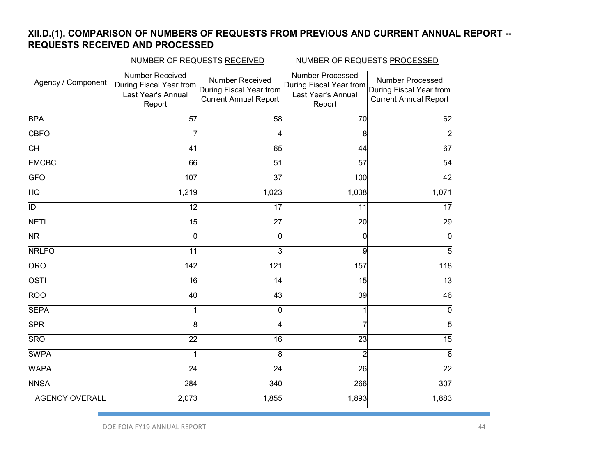#### **XII.D.(1). COMPARISON OF NUMBERS OF REQUESTS FROM PREVIOUS AND CURRENT ANNUAL REPORT -- REQUESTS RECEIVED AND PROCESSED**

|                          |                                                                                   | NUMBER OF REQUESTS RECEIVED                                                | NUMBER OF REQUESTS PROCESSED                                                       |                                                                                    |  |  |
|--------------------------|-----------------------------------------------------------------------------------|----------------------------------------------------------------------------|------------------------------------------------------------------------------------|------------------------------------------------------------------------------------|--|--|
| Agency / Component       | <b>Number Received</b><br>During Fiscal Year from<br>Last Year's Annual<br>Report | Number Received<br>During Fiscal Year from<br><b>Current Annual Report</b> | <b>Number Processed</b><br>During Fiscal Year from<br>Last Year's Annual<br>Report | <b>Number Processed</b><br>During Fiscal Year from<br><b>Current Annual Report</b> |  |  |
| <b>BPA</b>               | 57                                                                                | 58                                                                         | 70                                                                                 | 62                                                                                 |  |  |
| <b>CBFO</b>              |                                                                                   | 4                                                                          | 8                                                                                  |                                                                                    |  |  |
| СH                       | 41                                                                                | 65                                                                         | 44                                                                                 | 67                                                                                 |  |  |
| <b>EMCBC</b>             | 66                                                                                | 51                                                                         | 57                                                                                 | 54                                                                                 |  |  |
| <b>GFO</b>               | 107                                                                               | $\overline{37}$                                                            | 100                                                                                | 42                                                                                 |  |  |
| HQ                       | 1,219                                                                             | 1,023                                                                      | 1,038                                                                              | 1,071                                                                              |  |  |
| $\overline{\mathsf{ID}}$ | 12                                                                                | 17                                                                         | 11                                                                                 | 17                                                                                 |  |  |
| <b>NETL</b>              | 15                                                                                | $\overline{27}$                                                            | 20                                                                                 | 29                                                                                 |  |  |
| <b>NR</b>                | $\Omega$                                                                          | 0                                                                          | 0                                                                                  | $\Omega$                                                                           |  |  |
| <b>NRLFO</b>             | 11                                                                                | $\overline{3}$                                                             | g                                                                                  | 5                                                                                  |  |  |
| <b>ORO</b>               | 142                                                                               | 121                                                                        | 157                                                                                | 118                                                                                |  |  |
| OSTI                     | 16                                                                                | 14                                                                         | 15                                                                                 | $\overline{13}$                                                                    |  |  |
| <b>ROO</b>               | 40                                                                                | 43                                                                         | 39                                                                                 | 46                                                                                 |  |  |
| <b>SEPA</b>              |                                                                                   | 0                                                                          |                                                                                    | 0                                                                                  |  |  |
| <b>SPR</b>               | 8                                                                                 | 4                                                                          |                                                                                    | 5                                                                                  |  |  |
| <b>SRO</b>               | 22                                                                                | 16                                                                         | 23                                                                                 | 15                                                                                 |  |  |
| <b>SWPA</b>              |                                                                                   | 8                                                                          |                                                                                    | 8                                                                                  |  |  |
| <b>WAPA</b>              | 24                                                                                | 24                                                                         | 26                                                                                 | $\overline{22}$                                                                    |  |  |
| <b>NNSA</b>              | 284                                                                               | 340                                                                        | 266                                                                                | 307                                                                                |  |  |
| <b>AGENCY OVERALL</b>    | 2,073                                                                             | 1,855                                                                      | 1,893                                                                              | 1,883                                                                              |  |  |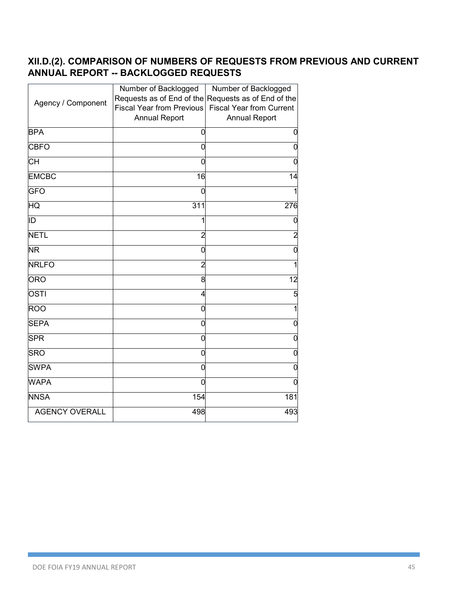#### **XII.D.(2). COMPARISON OF NUMBERS OF REQUESTS FROM PREVIOUS AND CURRENT ANNUAL REPORT -- BACKLOGGED REQUESTS**

|                       | Number of Backlogged             | Number of Backlogged            |
|-----------------------|----------------------------------|---------------------------------|
| Agency / Component    | Requests as of End of the        | Requests as of End of the       |
|                       | <b>Fiscal Year from Previous</b> | <b>Fiscal Year from Current</b> |
|                       | <b>Annual Report</b>             | <b>Annual Report</b>            |
| <b>BPA</b>            | 0                                | 0                               |
| <b>CBFO</b>           | 0                                | 0                               |
| CН                    | 0                                | 0                               |
| <b>EMCBC</b>          | 16                               | 14                              |
| <b>GFO</b>            | 0                                |                                 |
| HQ                    | 311                              | 276                             |
| ID                    | 1                                | 0                               |
| <b>NETL</b>           | $\overline{c}$                   | $\overline{a}$                  |
| <b>NR</b>             | 0                                | $\Omega$                        |
| <b>NRLFO</b>          | $\overline{c}$                   |                                 |
| <b>ORO</b>            | 8                                | 12                              |
| $OS\overline{1}$      | 4                                | 5                               |
| <b>ROO</b>            | 0                                | 1                               |
| <b>SEPA</b>           | 0                                | 0                               |
| <b>SPR</b>            | 0                                | 0                               |
| <b>SRO</b>            | 0                                | 0                               |
| <b>SWPA</b>           | 0                                | 0                               |
| <b>WAPA</b>           | 0                                | 0                               |
| <b>NNSA</b>           | 154                              | 181                             |
| <b>AGENCY OVERALL</b> | 498                              | 493                             |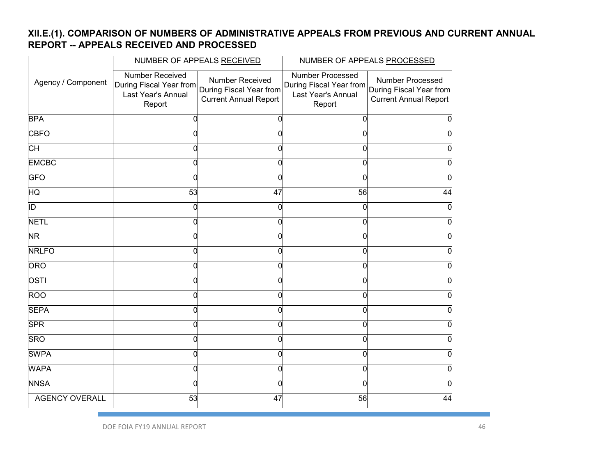## **XII.E.(1). COMPARISON OF NUMBERS OF ADMINISTRATIVE APPEALS FROM PREVIOUS AND CURRENT ANNUAL REPORT -- APPEALS RECEIVED AND PROCESSED**

|                         |                                                                                   | NUMBER OF APPEALS RECEIVED                                                 | NUMBER OF APPEALS PROCESSED                                                                                |                                                  |  |  |
|-------------------------|-----------------------------------------------------------------------------------|----------------------------------------------------------------------------|------------------------------------------------------------------------------------------------------------|--------------------------------------------------|--|--|
| Agency / Component      | <b>Number Received</b><br>During Fiscal Year from<br>Last Year's Annual<br>Report | Number Received<br>During Fiscal Year from<br><b>Current Annual Report</b> | <b>Number Processed</b><br>During Fiscal Year from During Fiscal Year from<br>Last Year's Annual<br>Report | Number Processed<br><b>Current Annual Report</b> |  |  |
| <b>BPA</b>              | 0                                                                                 | 0                                                                          | 0                                                                                                          |                                                  |  |  |
| <b>CBFO</b>             | U                                                                                 | 0                                                                          | N                                                                                                          |                                                  |  |  |
| СH                      |                                                                                   | 0                                                                          |                                                                                                            |                                                  |  |  |
| <b>EMCBC</b>            | ი                                                                                 | 0                                                                          | 0                                                                                                          |                                                  |  |  |
| <b>GFO</b>              |                                                                                   | 0                                                                          |                                                                                                            |                                                  |  |  |
| HQ                      | 53                                                                                | 47                                                                         | 56                                                                                                         | 44                                               |  |  |
| $\overline{\mathbb{D}}$ | O                                                                                 | 0                                                                          |                                                                                                            |                                                  |  |  |
| <b>NETL</b>             | 0                                                                                 | 0                                                                          | 0                                                                                                          |                                                  |  |  |
| <b>NR</b>               | 0                                                                                 | $\overline{0}$                                                             | 0                                                                                                          |                                                  |  |  |
| <b>NRLFO</b>            | 0                                                                                 | 0                                                                          | 0                                                                                                          |                                                  |  |  |
| <b>ORO</b>              | ი                                                                                 | $\overline{0}$                                                             | ი                                                                                                          |                                                  |  |  |
| <b>OSTI</b>             | 0                                                                                 | 0                                                                          | 0                                                                                                          |                                                  |  |  |
| <b>ROO</b>              | U                                                                                 | $\mathbf 0$                                                                | N                                                                                                          |                                                  |  |  |
| <b>SEPA</b>             |                                                                                   | 0                                                                          | ი                                                                                                          |                                                  |  |  |
| <b>SPR</b>              |                                                                                   | 0                                                                          | ი                                                                                                          |                                                  |  |  |
| <b>SRO</b>              | O                                                                                 | 0                                                                          | ი                                                                                                          |                                                  |  |  |
| <b>SWPA</b>             | 0                                                                                 | 0                                                                          | 0                                                                                                          |                                                  |  |  |
| <b>WAPA</b>             | 0                                                                                 | 0                                                                          | 0                                                                                                          |                                                  |  |  |
| <b>NNSA</b>             | 0                                                                                 | 0                                                                          |                                                                                                            |                                                  |  |  |
| <b>AGENCY OVERALL</b>   | 53                                                                                | 47                                                                         | 56                                                                                                         | 44                                               |  |  |